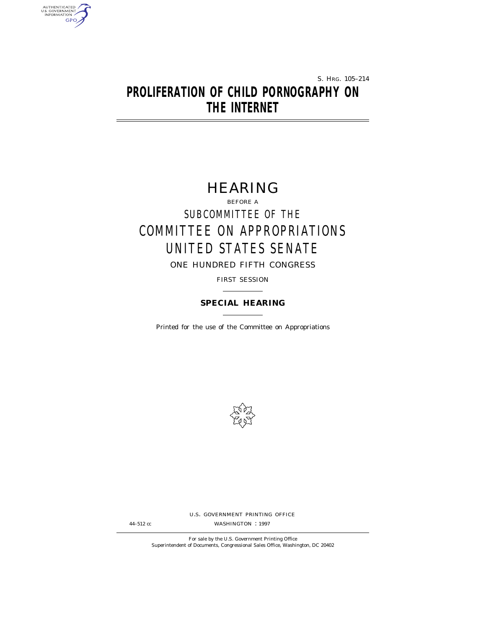S. HRG. 105–214

# **PROLIFERATION OF CHILD PORNOGRAPHY ON THE INTERNET**

AUTHENTICATED<br>U.S. GOVERNMENT<br>INFORMATION **GPO** 

# HEARING

BEFORE A SUBCOMMITTEE OF THE COMMITTEE ON APPROPRIATIONS UNITED STATES SENATE ONE HUNDRED FIFTH CONGRESS

FIRST SESSION

# **SPECIAL HEARING**

Printed for the use of the Committee on Appropriations



U.S. GOVERNMENT PRINTING OFFICE

44-512 cc WASHINGTON : 1997

For sale by the U.S. Government Printing Office Superintendent of Documents, Congressional Sales Office, Washington, DC 20402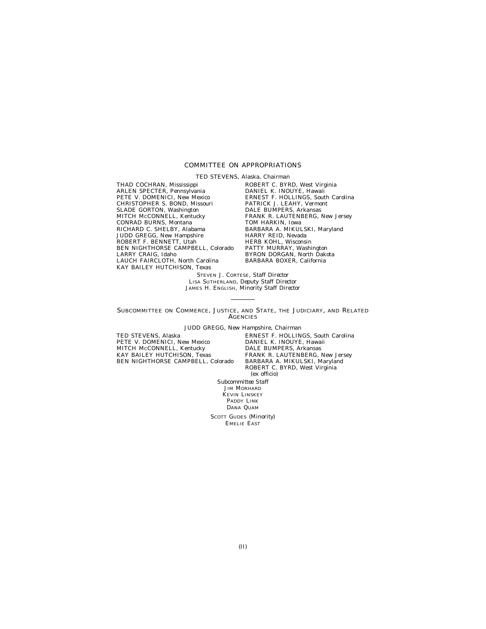# COMMITTEE ON APPROPRIATIONS

TED STEVENS, Alaska, *Chairman*

THAD COCHRAN, Mississippi ARLEN SPECTER, Pennsylvania PETE V. DOMENICI, New Mexico CHRISTOPHER S. BOND, Missouri SLADE GORTON, Washington MITCH McCONNELL, Kentucky CONRAD BURNS, Montana RICHARD C. SHELBY, Alabama JUDD GREGG, New Hampshire ROBERT F. BENNETT, Utah BEN NIGHTHORSE CAMPBELL, Colorado LARRY CRAIG, Idaho LAUCH FAIRCLOTH, North Carolina KAY BAILEY HUTCHISON, Texas

ROBERT C. BYRD, West Virginia DANIEL K. INOUYE, Hawaii ERNEST F. HOLLINGS, South Carolina PATRICK J. LEAHY, Vermont DALE BUMPERS, Arkansas FRANK R. LAUTENBERG, New Jersey TOM HARKIN, Iowa BARBARA A. MIKULSKI, Maryland HARRY REID, Nevada HERB KOHL, Wisconsin PATTY MURRAY, Washington BYRON DORGAN, North Dakota BARBARA BOXER, California

STEVEN J. CORTESE, *Staff Director* LISA SUTHERLAND, *Deputy Staff Director* JAMES H. ENGLISH, *Minority Staff Director*

SUBCOMMITTEE ON COMMERCE, JUSTICE, AND STATE, THE JUDICIARY, AND RELATED **AGENCIES** 

JUDD GREGG, New Hampshire, *Chairman*

TED STEVENS, Alaska PETE V. DOMENICI, New Mexico MITCH MCCONNELL, Kentucky KAY BAILEY HUTCHISON, Texas BEN NIGHTHORSE CAMPBELL, Colorado

ERNEST F. HOLLINGS, South Carolina DANIEL K. INOUYE, Hawaii DALE BUMPERS, Arkansas FRANK R. LAUTENBERG, New Jersey BARBARA A. MIKULSKI, Maryland ROBERT C. BYRD, West Virginia (ex officio)

*Subcommittee Staff* JIM MORHARD KEVIN LINSKEY PADDY LINK DANA QUAM

SCOTT GUDES *(Minority)* EMELIE EAST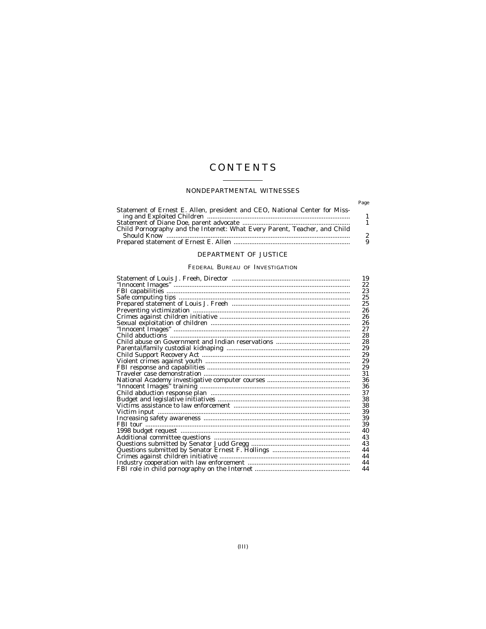# **CONTENTS**

# NONDEPARTMENTAL WITNESSES

|                                                                            | Page           |
|----------------------------------------------------------------------------|----------------|
| Statement of Ernest E. Allen, president and CEO, National Center for Miss- |                |
|                                                                            |                |
|                                                                            |                |
|                                                                            | $\overline{2}$ |
|                                                                            | 9              |

# DEPARTMENT OF JUSTICE

# FEDERAL BUREAU OF INVESTIGATION

| 19 |
|----|
| 22 |
| 23 |
| 25 |
| 25 |
| 26 |
| 26 |
| 26 |
| 27 |
| 28 |
| 28 |
| 29 |
| 29 |
| 29 |
| 29 |
| 31 |
| 36 |
| 36 |
| 37 |
| 38 |
| 38 |
| 39 |
| 39 |
| 39 |
| 40 |
| 43 |
| 43 |
| 44 |
| 44 |
| 44 |
| 44 |
|    |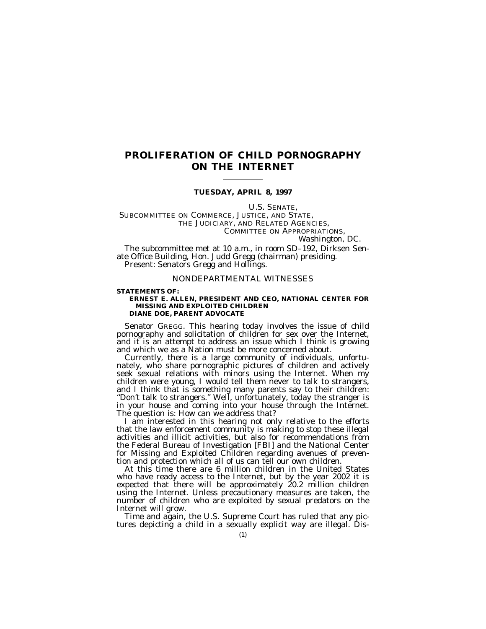# **PROLIFERATION OF CHILD PORNOGRAPHY ON THE INTERNET**

# **TUESDAY, APRIL 8, 1997**

U.S. SENATE,

SUBCOMMITTEE ON COMMERCE, JUSTICE, AND STATE, THE JUDICIARY, AND RELATED AGENCIES, COMMITTEE ON APPROPRIATIONS, *Washington, DC.*

The subcommittee met at 10 a.m., in room SD–192, Dirksen Senate Office Building, Hon. Judd Gregg (chairman) presiding. Present: Senators Gregg and Hollings.

# NONDEPARTMENTAL WITNESSES

## **STATEMENTS OF:**

# **ERNEST E. ALLEN, PRESIDENT AND CEO, NATIONAL CENTER FOR MISSING AND EXPLOITED CHILDREN**

**DIANE DOE, PARENT ADVOCATE**

Senator GREGG. This hearing today involves the issue of child pornography and solicitation of children for sex over the Internet, and it is an attempt to address an issue which I think is growing and which we as a Nation must be more concerned about.

Currently, there is a large community of individuals, unfortunately, who share pornographic pictures of children and actively seek sexual relations with minors using the Internet. When my children were young, I would tell them never to talk to strangers, and I think that is something many parents say to their children: ''Don't talk to strangers.'' Well, unfortunately, today the stranger is in your house and coming into your house through the Internet. The question is: How can we address that?

I am interested in this hearing not only relative to the efforts that the law enforcement community is making to stop these illegal activities and illicit activities, but also for recommendations from the Federal Bureau of Investigation [FBI] and the National Center for Missing and Exploited Children regarding avenues of prevention and protection which all of us can tell our own children.

At this time there are 6 million children in the United States who have ready access to the Internet, but by the year 2002 it is expected that there will be approximately 20.2 million children using the Internet. Unless precautionary measures are taken, the number of children who are exploited by sexual predators on the Internet will grow.

Time and again, the U.S. Supreme Court has ruled that any pictures depicting a child in a sexually explicit way are illegal. Dis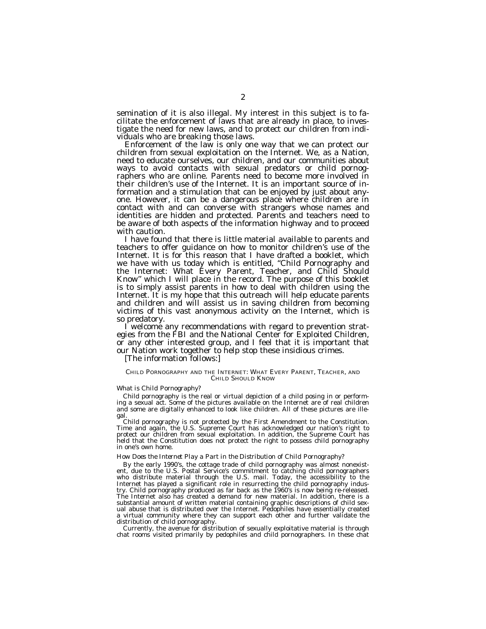semination of it is also illegal. My interest in this subject is to facilitate the enforcement of laws that are already in place, to investigate the need for new laws, and to protect our children from indi-

viduals who are breaking those laws. Enforcement of the law is only one way that we can protect our children from sexual exploitation on the Internet. We, as a Nation, need to educate ourselves, our children, and our communities about ways to avoid contacts with sexual predators or child pornographers who are online. Parents need to become more involved in their children's use of the Internet. It is an important source of information and a stimulation that can be enjoyed by just about anyone. However, it can be a dangerous place where children are in contact with and can converse with strangers whose names and identities are hidden and protected. Parents and teachers need to be aware of both aspects of the information highway and to proceed with caution.

I have found that there is little material available to parents and teachers to offer guidance on how to monitor children's use of the Internet. It is for this reason that I have drafted a booklet, which we have with us today which is entitled, ''Child Pornography and the Internet: What Every Parent, Teacher, and Child Should Know'' which I will place in the record. The purpose of this booklet is to simply assist parents in how to deal with children using the Internet. It is my hope that this outreach will help educate parents and children and will assist us in saving children from becoming victims of this vast anonymous activity on the Internet, which is so predatory.

I welcome any recommendations with regard to prevention strategies from the FBI and the National Center for Exploited Children, or any other interested group, and I feel that it is important that our Nation work together to help stop these insidious crimes.

[The information follows:]

#### CHILD PORNOGRAPHY AND THE INTERNET: WHAT EVERY PARENT, TEACHER, AND CHILD SHOULD KNOW

## *What is Child Pornography?*

Child pornography is the real or virtual depiction of a child posing in or performing a sexual act. Some of the pictures available on the Internet are of real children and some are digitally enhanced to look like children. All of these pictures are illegal.

Child pornography is not protected by the First Amendment to the Constitution. Time and again, the U.S. Supreme Court has acknowledged our nation's right to protect our children from sexual exploitation. In addition, the Supreme Court has held that the Constitution does not protect the right to possess child pornography in one's own home.

## *How Does the Internet Play a Part in the Distribution of Child Pornography?*

By the early 1990's, the cottage trade of child pornography was almost nonexistent, due to the U.S. Postal Service's commitment to catching child pornographers who distribute material through the U.S. mail. Today, the accessibility to the Internet has played a significant role in resurrecting the child pornography industry. Child pornography produced as far back as the 1960's is now being re-released. The Internet also has created a demand for new material. In addition, there is a substantial amount of written material containing graphic descriptions of child sexual abuse that is distributed over the Internet. Pedophiles have essentially created a virtual community where they can support each other and further validate the distribution of child pornography.

Currently, the avenue for distribution of sexually exploitative material is through chat rooms visited primarily by pedophiles and child pornographers. In these chat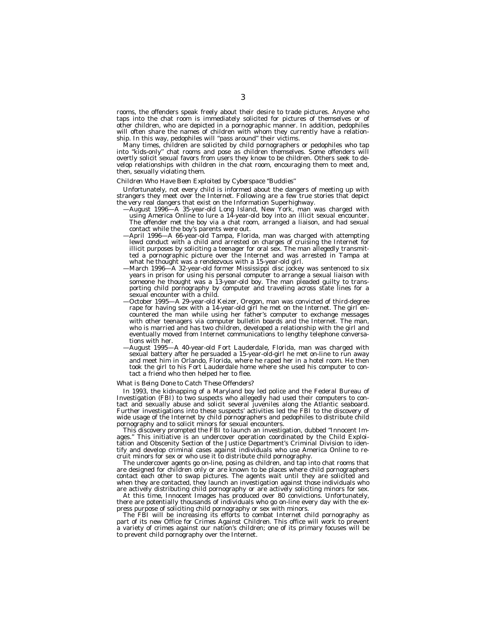rooms, the offenders speak freely about their desire to trade pictures. Anyone who taps into the chat room is immediately solicited for pictures of themselves or of other children, who are depicted in a pornographic manner. In addition, pedophiles will often share the names of children with whom they currently have a relationship. In this way, pedophiles will ''pass around'' their victims.

Many times, children are solicited by child pornographers or pedophiles who tap into ''kids-only'' chat rooms and pose as children themselves. Some offenders will overtly solicit sexual favors from users they know to be children. Others seek to develop relationships with children in the chat room, encouraging them to meet and, then, sexually violating them.

# *Children Who Have Been Exploited by Cyberspace ''Buddies''*

Unfortunately, not every child is informed about the dangers of meeting up with strangers they meet over the Internet. Following are a few true stories that depict the very real dangers that exist on the Information Superhighway.

- —August 1996—A 35-year-old Long Island, New York, man was charged with using America Online to lure a 14-year-old boy into an illicit sexual encounter. The offender met the boy via a chat room, arranged a liaison, and had sexual contact while the boy's parents were out.
- —April 1996—A 66-year-old Tampa, Florida, man was charged with attempting lewd conduct with a child and arrested on charges of cruising the Internet for illicit purposes by soliciting a teenager for oral sex. The man allegedly transmitted a pornographic picture over the Internet and was arrested in Tampa at what he thought was a rendezvous with a 15-year-old girl.
- —March 1996—A 32-year-old former Mississippi disc jockey was sentenced to six years in prison for using his personal computer to arrange a sexual liaison with someone he thought was a 13-year-old boy. The man pleaded guilty to transporting child pornography by computer and traveling across state lines for a sexual encounter with a child.
- —October 1995—A 29-year-old Keizer, Oregon, man was convicted of third-degree rape for having sex with a 14-year-old girl he met on the Internet. The girl encountered the man while using her father's computer to exchange messages with other teenagers via computer bulletin boards and the Internet. The man, who is married and has two children, developed a relationship with the girl and eventually moved from Internet communications to lengthy telephone conversations with her.
- —August 1995—A 40-year-old Fort Lauderdale, Florida, man was charged with sexual battery after he persuaded a 15-year-old-girl he met on-line to run away and meet him in Orlando, Florida, where he raped her in a hotel room. He then took the girl to his Fort Lauderdale home where she used his computer to contact a friend who then helped her to flee.

#### *What is Being Done to Catch These Offenders?*

In 1993, the kidnapping of a Maryland boy led police and the Federal Bureau of Investigation (FBI) to two suspects who allegedly had used their computers to contact and sexually abuse and solicit several juveniles along the Atlantic seaboard. Further investigations into these suspects' activities led the FBI to the discovery of wide usage of the Internet by child pornographers and pedophiles to distribute child pornography and to solicit minors for sexual encounters.

This discovery prompted the FBI to launch an investigation, dubbed ''Innocent Images.'' This initiative is an undercover operation coordinated by the Child Exploitation and Obscenity Section of the Justice Department's Criminal Division to identify and develop criminal cases against individuals who use America Online to recruit minors for sex or who use it to distribute child pornography.

The undercover agents go on-line, posing as children, and tap into chat rooms that are designed for children only or are known to be places where child pornographers contact each other to swap pictures. The agents wait until they are solicited and when they are contacted, they launch an investigation against those individuals who are actively distributing child pornography or are actively soliciting minors for sex.

At this time, Innocent Images has produced over 80 convictions. Unfortunately, there are potentially thousands of individuals who go on-line every day with the express purpose of soliciting child pornography or sex with minors.

The FBI will be increasing its efforts to combat Internet child pornography as part of its new Office for Crimes Against Children. This office will work to prevent a variety of crimes against our nation's children; one of its primary focuses will be to prevent child pornography over the Internet.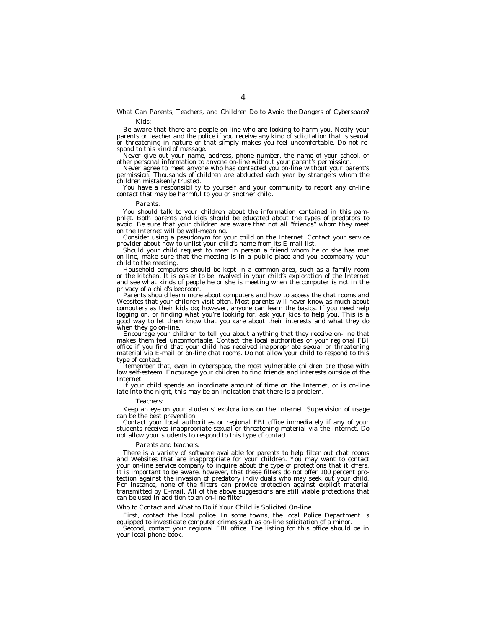# *What Can Parents, Teachers, and Children Do to Avoid the Dangers of Cyberspace? Kids:*

Be aware that there are people on-line who are looking to harm you. Notify your parents or teacher and the police if you receive any kind of solicitation that is sexual or threatening in nature or that simply makes you feel uncomfortable. Do not respond to this kind of message.

Never give out your name, address, phone number, the name of your school, or other personal information to anyone on-line without your parent's permission.

Never agree to meet anyone who has contacted you on-line without your parent's permission. Thousands of children are abducted each year by strangers whom the children mistakenly trusted.

You have a responsibility to yourself and your community to report any on-line contact that may be harmful to you or another child.

#### *Parents:*

You should talk to your children about the information contained in this pamphlet. Both parents and kids should be educated about the types of predators to avoid. Be sure that your children are aware that not all ''friends'' whom they meet on the Internet will be well-meaning.

Consider using a pseudonym for your child on the Internet. Contact your service provider about how to unlist your child's name from its E-mail list.

Should your child request to meet in person a friend whom he or she has met on-line, make sure that the meeting is in a public place and you accompany your child to the meeting.

Household computers should be kept in a common area, such as a family room or the kitchen. It is easier to be involved in your child's exploration of the Internet and see what kinds of people he or she is meeting when the computer is not in the privacy of a child's bedroom.

Parents should learn more about computers and how to access the chat rooms and Websites that your children visit often. Most parents will never know as much about computers as their kids do; however, anyone can learn the basics. If you need help logging on, or finding what you're looking for, ask your kids to help you. This is a good way to let them know that you care about their interests and what they do when they go on-line.

Encourage your children to tell you about anything that they receive on-line that makes them feel uncomfortable. Contact the local authorities or your regional FBI office if you find that your child has received inappropriate sexual or threatening material via E-mail or on-line chat rooms. Do not allow your child to respond to this type of contact.

Remember that, even in cyberspace, the most vulnerable children are those with low self-esteem. Encourage your children to find friends and interests outside of the Internet.

If your child spends an inordinate amount of time on the Internet, or is on-line late into the night, this may be an indication that there is a problem.

#### *Teachers:*

Keep an eye on your students' explorations on the Internet. Supervision of usage can be the best prevention.

Contact your local authorities or regional FBI office immediately if any of your students receives inappropriate sexual or threatening material via the Internet. Do not allow your students to respond to this type of contact.

#### *Parents and teachers:*

There is a variety of software available for parents to help filter out chat rooms and Websites that are inappropriate for your children. You may want to contact your on-line service company to inquire about the type of protections that it offers. It is important to be aware, however, that these filters do not offer 100 percent protection against the invasion of predatory individuals who may seek out your child. For instance, none of the filters can provide protection against explicit material transmitted by E-mail. All of the above suggestions are still viable protections that can be used in addition to an on-line filter.

#### *Who to Contact and What to Do if Your Child is Solicited On-line*

First, contact the local police. In some towns, the local Police Department is equipped to investigate computer crimes such as on-line solicitation of a minor.

Second, contact your regional FBI office. The listing for this office should be in your local phone book.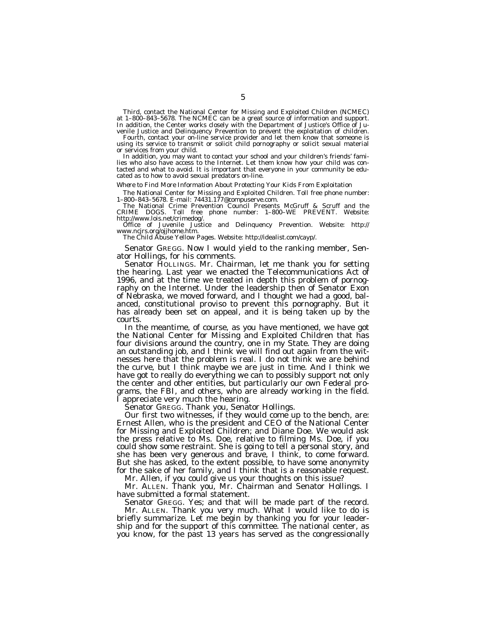Third, contact the National Center for Missing and Exploited Children (NCMEC) at 1–800–843–5678. The NCMEC can be a great source of information and support. In addition, the Center works closely with the Department of Justice's Office of Ju-

venile Justice and Delinquency Prevention to prevent the exploitation of children. Fourth, contact your on-line service provider and let them know that someone is using its service to transmit or solicit child pornography or solicit sexual material or services from your child.

In addition, you may want to contact your school and your children's friends' families who also have access to the Internet. Let them know how your child was contacted and what to avoid. It is important that everyone in your community be educated as to how to avoid sexual predators on-line.

#### *Where to Find More Information About Protecting Your Kids From Exploitation*

The National Center for Missing and Exploited Children. Toll free phone number: 1–800–843–5678. E-mail: 74431.177@compuserve.com.

The National Crime Prevention Council Presents McGruff & Scruff and the CRIME DOGS. Toll free phone number: 1–800–WE PREVENT. Website: http://www.lois.net/crimedog/.

Office of Juvenile Justice and Delinquency Prevention. Website: http:// www.ncjrs.org/ojjhome.htm.

The Child Abuse Yellow Pages. Website: http://idealist.com/cayp/.

Senator GREGG. Now I would yield to the ranking member, Senator Hollings, for his comments.

Senator HOLLINGS. Mr. Chairman, let me thank you for setting the hearing. Last year we enacted the Telecommunications Act of 1996, and at the time we treated in depth this problem of pornography on the Internet. Under the leadership then of Senator Exon of Nebraska, we moved forward, and I thought we had a good, balanced, constitutional proviso to prevent this pornography. But it has already been set on appeal, and it is being taken up by the courts.

In the meantime, of course, as you have mentioned, we have got the National Center for Missing and Exploited Children that has four divisions around the country, one in my State. They are doing an outstanding job, and I think we will find out again from the witnesses here that the problem is real. I do not think we are behind the curve, but I think maybe we are just in time. And I think we have got to really do everything we can to possibly support not only the center and other entities, but particularly our own Federal programs, the FBI, and others, who are already working in the field. I appreciate very much the hearing.

Senator GREGG. Thank you, Senator Hollings.

Our first two witnesses, if they would come up to the bench, are: Ernest Allen, who is the president and CEO of the National Center for Missing and Exploited Children; and Diane Doe. We would ask the press relative to Ms. Doe, relative to filming Ms. Doe, if you could show some restraint. She is going to tell a personal story, and she has been very generous and brave, I think, to come forward. But she has asked, to the extent possible, to have some anonymity for the sake of her family, and I think that is a reasonable request.

Mr. Allen, if you could give us your thoughts on this issue?

Mr. ALLEN. Thank you, Mr. Chairman and Senator Hollings. I have submitted a formal statement.

Senator GREGG. Yes; and that will be made part of the record. Mr. ALLEN. Thank you very much. What I would like to do is

briefly summarize. Let me begin by thanking you for your leadership and for the support of this committee. The national center, as you know, for the past 13 years has served as the congressionally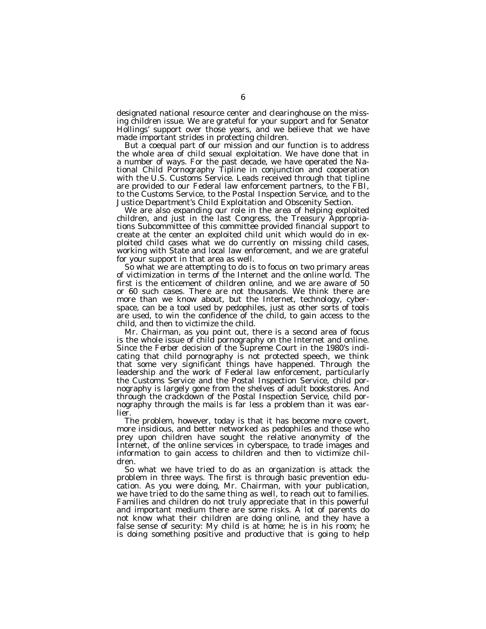designated national resource center and clearinghouse on the missing children issue. We are grateful for your support and for Senator Hollings' support over those years, and we believe that we have made important strides in protecting children.

But a coequal part of our mission and our function is to address the whole area of child sexual exploitation. We have done that in a number of ways. For the past decade, we have operated the National Child Pornography Tipline in conjunction and cooperation with the U.S. Customs Service. Leads received through that tipline are provided to our Federal law enforcement partners, to the FBI, to the Customs Service, to the Postal Inspection Service, and to the Justice Department's Child Exploitation and Obscenity Section.

We are also expanding our role in the area of helping exploited children, and just in the last Congress, the Treasury Appropriations Subcommittee of this committee provided financial support to create at the center an exploited child unit which would do in exploited child cases what we do currently on missing child cases, working with State and local law enforcement, and we are grateful for your support in that area as well.

So what we are attempting to do is to focus on two primary areas of victimization in terms of the Internet and the online world. The first is the enticement of children online, and we are aware of 50 or 60 such cases. There are not thousands. We think there are more than we know about, but the Internet, technology, cyberspace, can be a tool used by pedophiles, just as other sorts of tools are used, to win the confidence of the child, to gain access to the child, and then to victimize the child.

Mr. Chairman, as you point out, there is a second area of focus is the whole issue of child pornography on the Internet and online. Since the *Ferber* decision of the Supreme Court in the 1980's indicating that child pornography is not protected speech, we think that some very significant things have happened. Through the leadership and the work of Federal law enforcement, particularly the Customs Service and the Postal Inspection Service, child pornography is largely gone from the shelves of adult bookstores. And through the crackdown of the Postal Inspection Service, child pornography through the mails is far less a problem than it was earlier.

The problem, however, today is that it has become more covert, more insidious, and better networked as pedophiles and those who prey upon children have sought the relative anonymity of the Internet, of the online services in cyberspace, to trade images and information to gain access to children and then to victimize children.

So what we have tried to do as an organization is attack the problem in three ways. The first is through basic prevention education. As you were doing, Mr. Chairman, with your publication, we have tried to do the same thing as well, to reach out to families. Families and children do not truly appreciate that in this powerful and important medium there are some risks. A lot of parents do not know what their children are doing online, and they have a false sense of security: My child is at home; he is in his room; he is doing something positive and productive that is going to help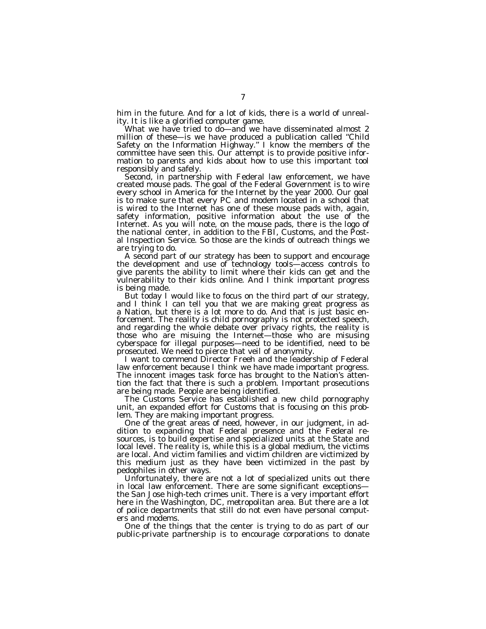him in the future. And for a lot of kids, there is a world of unreality. It is like a glorified computer game.

What we have tried to do-and we have disseminated almost 2 million of these—is we have produced a publication called ''Child Safety on the Information Highway.'' I know the members of the committee have seen this. Our attempt is to provide positive information to parents and kids about how to use this important tool responsibly and safely.

Second, in partnership with Federal law enforcement, we have created mouse pads. The goal of the Federal Government is to wire every school in America for the Internet by the year 2000. Our goal is to make sure that every PC and modem located in a school that is wired to the Internet has one of these mouse pads with, again, safety information, positive information about the use of the Internet. As you will note, on the mouse pads, there is the logo of the national center, in addition to the FBI, Customs, and the Postal Inspection Service. So those are the kinds of outreach things we are trying to do.

A second part of our strategy has been to support and encourage the development and use of technology tools—access controls to give parents the ability to limit where their kids can get and the vulnerability to their kids online. And I think important progress is being made.

But today I would like to focus on the third part of our strategy, and I think I can tell you that we are making great progress as a Nation, but there is a lot more to do. And that is just basic enforcement. The reality is child pornography is not protected speech, and regarding the whole debate over privacy rights, the reality is those who are misuing the Internet—those who are misusing cyberspace for illegal purposes—need to be identified, need to be prosecuted. We need to pierce that veil of anonymity.

I want to commend Director Freeh and the leadership of Federal law enforcement because I think we have made important progress. The innocent images task force has brought to the Nation's attention the fact that there is such a problem. Important prosecutions are being made. People are being identified.

The Customs Service has established a new child pornography unit, an expanded effort for Customs that is focusing on this problem. They are making important progress.

One of the great areas of need, however, in our judgment, in addition to expanding that Federal presence and the Federal resources, is to build expertise and specialized units at the State and local level. The reality is, while this is a global medium, the victims are local. And victim families and victim children are victimized by this medium just as they have been victimized in the past by pedophiles in other ways.

Unfortunately, there are not a lot of specialized units out there in local law enforcement. There are some significant exceptions the San Jose high-tech crimes unit. There is a very important effort here in the Washington, DC, metropolitan area. But there are a lot of police departments that still do not even have personal computers and modems.

One of the things that the center is trying to do as part of our public-private partnership is to encourage corporations to donate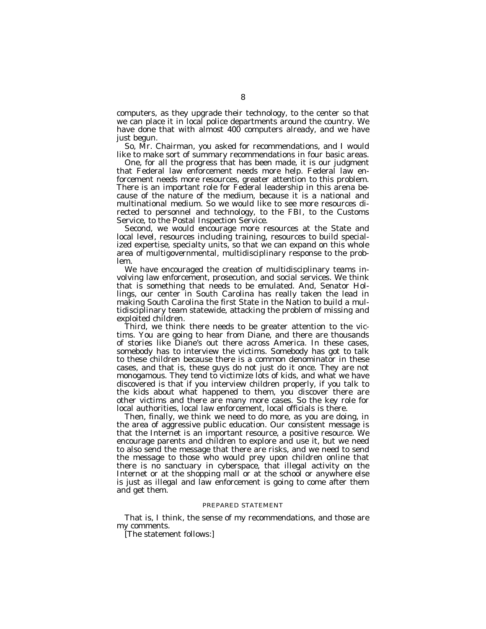computers, as they upgrade their technology, to the center so that we can place it in local police departments around the country. We have done that with almost 400 computers already, and we have just begun.

So, Mr. Chairman, you asked for recommendations, and I would like to make sort of summary recommendations in four basic areas.

One, for all the progress that has been made, it is our judgment that Federal law enforcement needs more help. Federal law enforcement needs more resources, greater attention to this problem. There is an important role for Federal leadership in this arena because of the nature of the medium, because it is a national and multinational medium. So we would like to see more resources directed to personnel and technology, to the FBI, to the Customs Service, to the Postal Inspection Service.

Second, we would encourage more resources at the State and local level, resources including training, resources to build specialized expertise, specialty units, so that we can expand on this whole area of multigovernmental, multidisciplinary response to the problem.

We have encouraged the creation of multidisciplinary teams involving law enforcement, prosecution, and social services. We think that is something that needs to be emulated. And, Senator Hollings, our center in South Carolina has really taken the lead in making South Carolina the first State in the Nation to build a multidisciplinary team statewide, attacking the problem of missing and exploited children.

Third, we think there needs to be greater attention to the victims. You are going to hear from Diane, and there are thousands of stories like Diane's out there across America. In these cases, somebody has to interview the victims. Somebody has got to talk to these children because there is a common denominator in these cases, and that is, these guys do not just do it once. They are not monogamous. They tend to victimize lots of kids, and what we have discovered is that if you interview children properly, if you talk to the kids about what happened to them, you discover there are other victims and there are many more cases. So the key role for local authorities, local law enforcement, local officials is there.

Then, finally, we think we need to do more, as you are doing, in the area of aggressive public education. Our consistent message is that the Internet is an important resource, a positive resource. We encourage parents and children to explore and use it, but we need to also send the message that there are risks, and we need to send the message to those who would prey upon children online that there is no sanctuary in cyberspace, that illegal activity on the Internet or at the shopping mall or at the school or anywhere else is just as illegal and law enforcement is going to come after them and get them.

# PREPARED STATEMENT

That is, I think, the sense of my recommendations, and those are my comments.

[The statement follows:]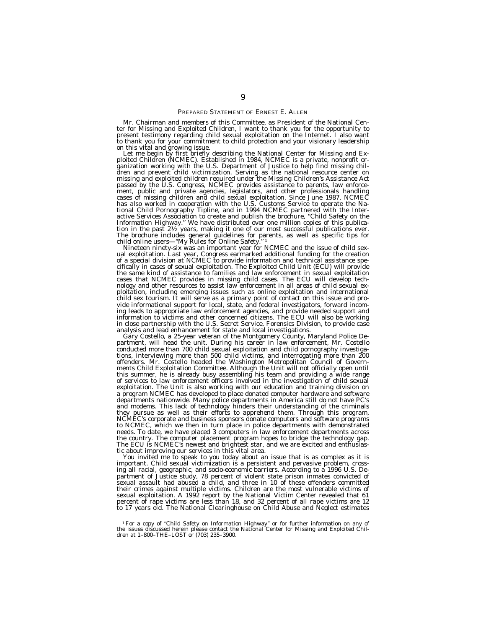#### PREPARED STATEMENT OF ERNEST E. ALLEN

Mr. Chairman and members of this Committee, as President of the National Center for Missing and Exploited Children, I want to thank you for the opportunity to present testimony regarding child sexual exploitation on the Internet. I also want to thank you for your commitment to child protection and your visionary leadership

on this vital and growing issue.<br>Let me begin by first briefly describing the National Center for Missing and Exploited Children (NCMEC). Established in 1984, NCMEC is a private, nonprofit or-<br>ganization working with the U passed by the U.S. Congress, NCMEC provides assistance to parents, law enforce-ment, public and private agencies, legislators, and other professionals handling cases of missing children and child sexual exploitation. Since June 1987, NCMEC has also worked in cooperation with the U.S. Customs Service to operate the National Child Pornography Tipline, and in 1994 NCMEC partnered with the Inter-active Services Association to create and publish the brochure, ''Child Safety on the Information Highway." We have distributed over one million copies of this publica-<br>tion in the past  $2\frac{1}{2}$  years, making it one of our most successful publications ever. tion in the past  $2\frac{1}{2}$  years, making it one of our most successful publications ever.<br>The brochure includes general guidelines for parents, as well as specific tips for<br>child online users—"My Rules for Online Safety.

Nineteen ninety-six was an important year for NCMEC and the issue of child sex- ual exploitation. Last year, Congress earmarked additional funding for the creation of a special division at NCMEC to provide information and technical assistance spe-<br>cifically in cases of sexual exploitation. The Exploited Child Unit (ECU) will provide the same kind of assistance to families and law enforcement in sexual exploitation cases that NCMEC provides in missing child cases. The ECU will develop technology and other resources to assist law enforcement in all areas of child sexual exploitation, including emerging issues such as online exploitation and international child sex tourism. It will serve as a primary point of contact on this issue and provide informational support for local, state, and federal investigators, forward incoming leads to appropriate law enforcement agencies, and provide needed support and information to victims and other concerned citizens. The ECU will also be working in close partnership with the U.S. Secret Service, Forensics Division, to provide case analysis and lead enhancement for state and local investigations.

Gary Costello, a 25-year veteran of the Montgomery County, Maryland Police Department, will head the unit. During his career in law enforcement, Mr. Costello conducted more than 700 child sexual exploitation and child pornography investigations, interviewing more than 500 child victims, and interrogating more than 200 offenders. Mr. Costello headed the Washington Metropolitan Council of Governments Child Exploitation Committee. Although the Unit will not officially open until this summer, he is already busy assembling his team and providing a wide range of services to law enforcement officers involved in the investigation of child sexual exploitation. The Unit is also working with our education and training division on a program NCMEC has developed to place donated computer hardware and software departments nationwide. Many police departments in America still do not have PC's and modems. This lack of technology hinders their understanding of the criminals they pursue as well as their efforts to apprehend them. Through this program, NCMEC's corporate and business sponsors donate computers and software programs to NCMEC, which we then in turn place in police departments with demonstrated needs. To date, we have placed 3 computers in law enforcement departments across the country. The computer placement program hopes to bridge the technology gap. The ECU is NCMEC's newest and brightest star, and we are excited and enthusiastic about improving our services in this vital area.

You invited me to speak to you today about an issue that is as complex as it is important. Child sexual victimization is a persistent and pervasive problem, crossing all racial, geographic, and socio-economic barriers. According to a 1996 U.S. Department of Justice study, 78 percent of violent state prison inmates convicted of sexual assault had abused a child, and three in 10 of these offenders committed their crimes against multiple victims. Children are the most vulnerable victims of sexual exploitation. A 1992 report by the National Victim Center revealed that 61 percent of rape victims are less than 18, and 32 percent of all rape victims are 12 to 17 years old. The National Clearinghouse on Child Abuse and Neglect estimates

 $1\,\mathrm{For}$  a copy of "Child Safety on Information Highway" or for further information on any of the issues discussed herein please contact the National Center for Missing and Exploited Children at  $1-800-$ THE-LOST or (703)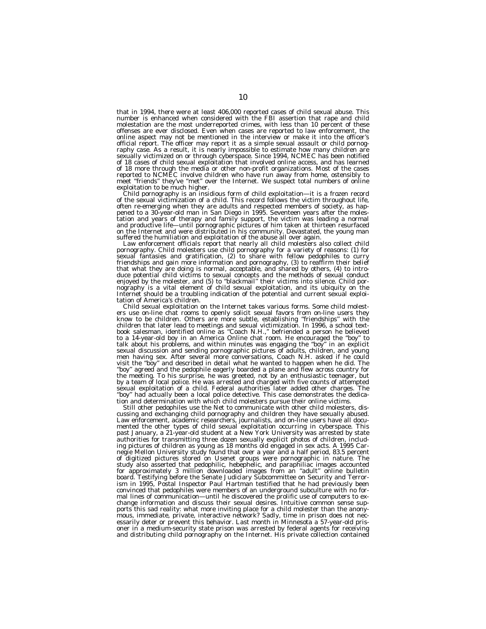that in 1994, there were at least 406,000 reported cases of child sexual abuse. This number is enhanced when considered with the FBI assertion that rape and child molestation are the most underreported crimes, with less than 10 percent of these offenses are ever disclosed. Even when cases are reported to law enforcement, the online aspect may not be mentioned in the interview or make it into the officer's official report. The officer may report it as a simple sexual assault or child pornography case. As a result, it is nearly impossible to estimate how many children are sexually victimized on or through cyberspace. Since 1994, NCMEC has been notified of 18 cases of child sexual exploitation that involved online access, and has learned of 18 more through the media or other non-profit organizations. Most of the cases reported to NCMEC involve children who have run away from home, ostensibly to meet "friends" they've "met" over the Internet. We suspect total numbers of online exploitation to be much higher.

exploitation to be much higher. Child pornography is an insidious form of child exploitation—it is a frozen record of the sexual victimization of a child. This record follows the victim throughout life, often re-emerging when they are adults and respected members of society, as happened to a 30-year-old man in San Diego in 1995. Seventeen years after the moles-tation and years of therapy and family support, the victim was leading a normal and productive life—until pornographic pictures of him taken at thirteen resurfaced on the Internet and were distributed in his community. Devastated, the young man

suffered the humiliation and exploitation of the abuse all over again.<br>Law enforcement officials report that nearly all child molesters also collect child<br>pornography. Child molesters use child pornography for a variety of Internet should be a troubling indication of the potential and current sexual exploitation of America's children.

Child sexual exploitation on the Internet takes various forms. Some child molest-ers use on-line chat rooms to openly solicit sexual favors from on-line users they know to be children. Others are more subtle, establishing ''friendships'' with the children that later lead to meetings and sexual victimization. In 1996, a school textbook salesman, identified online as ''Coach N.H.,'' befriended a person he believed to a 14-year-old boy in an America Online chat room. He encouraged the ''boy'' to talk about his problems, and within minutes was engaging the ''boy'' in an explicit sexual discussion and sending pornographic pictures of adults, children, and young men having sex. After several more conversations, Coach N.H. asked if he could<br>visit the "boy" and described in detail what he wanted to happen when he did. The ''boy'' agreed and the pedophile eagerly boarded a plane and flew across country for the meeting. To his surprise, he was greeted, not by an enthusiastic teenager, but by a team of local police. He was arrested and charged with five counts of attempted sexual exploitation of a child. Federal authorities later added other charges. The ''boy'' had actually been a local police detective. This case demonstrates the dedication and determination with which child molesters pursue their online victims.

Still other pedophiles use the Net to communicate with other child molesters, discussing and exchanging child pornography and children they have sexually abused. Law enforcement, academic researchers, journalists, and on-line users have all documented the other types of child sexual exploitation occurring in cyberspace. This past January, a 21-year-old student at a New York University was arrested by state authorities for transmitting three dozen sexually explicit photos of children, including pictures of children as young as 18 months old engaged in sex acts. A 1995 Carnegie Mellon University study found that over a year and a half period, 83.5 percent of digitized pictures stored on Usenet groups were pornographic in nature. The study also asserted that pedophilic, hebephelic, and paraphiliac images accounted for approximately 3 million downloaded images from an ''adult'' online bulletin board. Testifying before the Senate Judiciary Subcommittee on Security and Terrorism in 1995, Postal Inspector Paul Hartman testified that he had previously been convinced that pedophiles were members of an underground subculture with no formal lines of communication—until he discovered the prolific use of computers to exchange information and discuss their sexual desires. Intuitive common sense supports this sad reality: what more inviting place for a child molester than the anonymous, immediate, private, interactive network? Sadly, time in prison does not necessarily deter or prevent this behavior. Last month in Minnesota a 57-year-old prisoner in a medium-security state prison was arrested by federal agents for receiving and distributing child pornography on the Internet. His private collection contained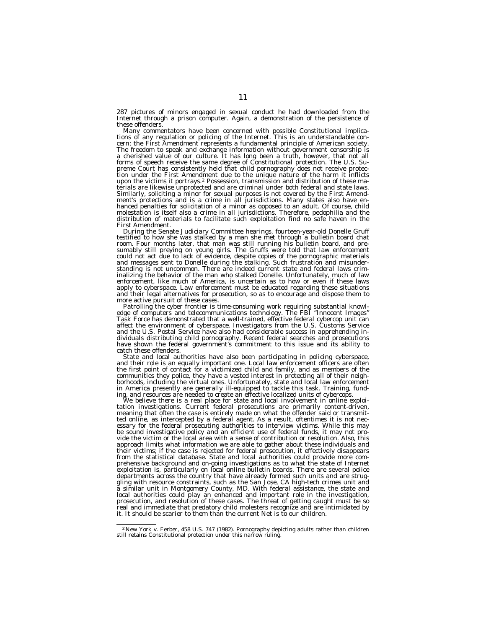287 pictures of minors engaged in sexual conduct he had downloaded from the Internet through a prison computer. Again, a demonstration of the persistence of these offenders.

Many commentators have been concerned with possible Constitutional implica- tions of any regulation or policing of the Internet. This is an understandable concern; the First Amendment represents a fundamental principle of American society. The freedom to speak and exchange information without government censorship is a cherished value of our culture. It has long been a truth, however, that not all forms of speech receive the same degree of Constitutional protection. The U.S. Supreme Court has consistently held that child pornography does not receive protec-tion under the First Amendment due to the unique nature of the harm it inflicts upon the victims it portrays.2 Possession, transmission and distribution of these materials are likewise unprotected and are criminal under both federal and state laws. Similarly, soliciting a minor for sexual purposes is not covered by the First Amend-ment's protections and is a crime in all jurisdictions. Many states also have enhanced penalties for solicitation of a minor as opposed to an adult. Of course, child molestation is itself also a crime in all jurisdictions. Therefore, pedophilia and the distribution of materials to facilitate such exploitation find no safe haven in the First Amendment.

During the Senate Judiciary Committee hearings, fourteen-year-old Donelle Gruff testified to how she was stalked by a man she met through a bulletin board chat room. Four months later, that man was still running his bulletin board, and presumably still preying on young girls. The Gruffs were told that law enforcement<br>could not act due to lack of evidence, despite copies of the pornographic materials<br>and messages sent to Donelle during the stalking. Such fru standing is not uncommon. There are indeed current state and federal laws crim-inalizing the behavior of the man who stalked Donelle. Unfortunately, much of law enforcement, like much of America, is uncertain as to how or even if these laws apply to cyberspace. Law enforcement must be educated regarding these situations and their legal alternatives for prosecution, so as to encourage and dispose them to more active pursuit of these cases.

Patrolling the cyber frontier is time-consuming work requiring substantial knowl- edge of computers and telecommunications technology. The FBI ''Innocent Images'' Task Force has demonstrated that a well-trained, effective federal cybercop unit can affect the environment of cyberspace. Investigators from the U.S. Customs Service and the U.S. Postal Service have also had considerable success in apprehending in-dividuals distributing child pornography. Recent federal searches and prosecutions have shown the federal government's commitment to this issue and its ability to catch these offenders.

State and local authorities have also been participating in policing cyberspace, and their role is an equally important one. Local law enforcement officers are often the first point of contact for a victimized child and family, and as members of the communities they police, they have a vested interest in protecting all of their neighborhoods, including the virtual ones. Unfortunately, state and local law enforcement in America presently are generally ill-equipped to tackle this task. Training, fund-

ing, and resources are needed to create an effective localized units of cybercops.<br>We believe there is a real place for state and local involvement in online exploitive there is a real place for state and local involvement ted online, as intercepted by a federal agent. As a result, oftentimes it is not nec-<br>essary for the federal prosecuting authorities to interview victims. While this may<br>be sound investigative policy and an efficient use o approach limits what information we are able to gather about these individuals and their victims; if the case is rejected for federal prosecution, it effectively disappears from the statistical database. State and local authorities could provide more comprehensive background and on-going investigations as to what the state of Internet exploitation is, particularly on local online bulletin boards. There are several police departments across the country that have already formed such units and are struggling with resource constraints, such as the San Jose, CA high-tech crimes unit and a similar unit in Montgomery County, MD. With federal assistance, the state and local authorities could play an enhanced and important role in the investigation, prosecution, and resolution of these cases. The threat of getting caught must be so real and immediate that predatory child molesters recognize and are intimidated by it. It should be scarier to them than the current Net is to our children.

<sup>&</sup>lt;sup>2</sup> New York v. Ferber, 458 U.S. 747 (1982). Pornography depicting adults rather than children still retains Constitutional protection under this narrow ruling.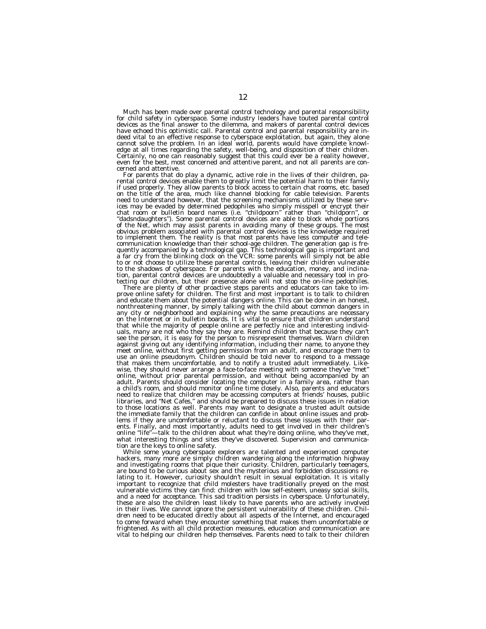Much has been made over parental control technology and parental responsibility<br>for child safety in cyberspace. Some industry leaders have touted parental control<br>devices as the final answer to the dilemma, and makers of p have echoed this optimistic call. Parental control and parental responsibility are indeed vital to an effective response to cyberspace exploitation, but again, they alone cannot solve the problem. In an ideal world, parents would have complete knowl-edge at all times regarding the safety, well-being, and disposition of their children. Certainly, no one can reasonably suggest that this could ever be a reality however, even for the best, most concerned and attentive parent, and not all parents are con-

cerned and attentive.<br>For parents that do play a dynamic, active role in the lives of their children, pa-For parents that do play a dynamic, active role in the lives of their children, parental control devices enable them to greatly limit the potential harm to their family if used properly. They allow parents to block access on the title of the area, much like channel blocking for cable television. Parents need to understand however, that the screening mechanisms utilized by these services may be evaded by determined pedophiles who simply misspell or encrypt their<br>chat room or bulletin board names (i.e. "childpoorn" rather than "childporn", or<br>"dadsndaughters"). Some parental control devices are able to communication knowledge than their school-age children. The generation gap is fre-<br>quently accompanied by a technological gap. This technological gap is important and<br>a far cry from the blinking clock on the VCR: some pare

any city or neighborhood and explaining why the same precautions are necessary<br>on the Internet or in bulletin boards. It is vital to ensure that children understand<br>that while the majority of people online are perfectly ni uals, many are not who they say they are. Remind children that because they can't see the person, it is easy for the person to misrepresent themselves. Warn children against giving out any identifying information, including their name, to anyone they<br>meet online, without first getting permission from an adult, and encourage them to<br>use an online pseudonym. Children should be told never wise, they should never arrange a face-to-face meeting with someone they've ''met'' online, without prior parental permission, and without being accompanied by an adult. Parents should consider locating the computer in a family area, rather than a child's room, and should monitor online time closely. Also, parents and educators need to realize that children may be accessing computers at friends' houses, public libraries, and ''Net Cafes,'' and should be prepared to discuss these issues in relation to those locations as well. Parents may want to designate a trusted adult outside the immediate family that the children can confide in about online issues and problems if they are uncomfortable or reluctant to discuss these issues with their parents. Finally, and most importantly, adults need to get involved in their children's online "life"—talk to the children about what they're doing online, who they've met, what interesting things and sites they've discovered. Supervision and communication are the keys to online safety.

While some young cyberspace explorers are talented and experienced computer hackers, many more are simply children wandering along the information highway and investigating rooms that pique their curiosity. Children, particularly teenagers, are bound to be curious about sex and the mysterious and forbidden discussions relating to it. However, curiosity shouldn't result in sexual exploitation. It is vitally important to recognize that child molesters have traditionally preyed on the most vulnerable victims they can find: children with low self-esteem, uneasy social skills, and a need for acceptance. This sad tradition persists in cyberspace. Unfortunately, these are also the children least likely to have parents who are actively involved in their lives. We cannot ignore the persistent vulnerability of these children. Children need to be educated directly about all aspects of the Internet, and encouraged to come forward when they encounter something that makes them uncomfortable or frightened. As with all child protection measures, education and communication are vital to helping our children help themselves. Parents need to talk to their children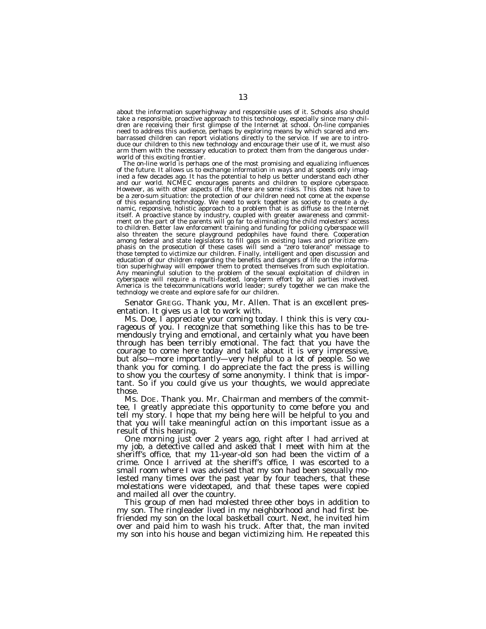about the information superhighway and responsible uses of it. Schools also should take a responsible, proactive approach to this technology, especially since many children are receiving their first glimpse of the Internet at school. On-line companies need to address this audience, perhaps by exploring means by which scared and embarrassed children can report violations directly to the service. If we are to introduce our children to this new technology and encourage their use of it, we must also arm them with the necessary education to protect them from the dangerous underworld of this exciting frontier.

The on-line world is perhaps one of the most promising and equalizing influences of the future. It allows us to exchange information in ways and at speeds only imagined a few decades ago. It has the potential to help us better understand each other and our world. NCMEC encourages parents and children to explore cyberspace. However, as with other aspects of life, there are some risks. This does not have to be a zero-sum situation: the protection of our children need not come at the expense of this expanding technology. We need to work together as society to create a dynamic, responsive, holistic approach to a problem that is as diffuse as the Internet itself. A proactive stance by industry, coupled with greater awareness and commitment on the part of the parents will go far to eliminating the child molesters' access to children. Better law enforcement training and funding for policing cyberspace will also threaten the secure playground pedophiles have found there. Cooperation among federal and state legislators to fill gaps in existing laws and prioritize emphasis on the prosecution of these cases will send a "zero tolerance" message to those tempted to victimize our children. Finally, intelligent and open discussion and education of our children regarding the benefits and dangers of life on the information superhighway will empower them to protect themselves from such exploitation. Any meaningful solution to the problem of the sexual exploitation of children in cyberspace will require a multi-faceted, long-term effort by all parties involved. America is the telecommunications world leader; surely together we can make the technology we create and explore safe for our children.

Senator GREGG. Thank you, Mr. Allen. That is an excellent presentation. It gives us a lot to work with.

Ms. Doe, I appreciate your coming today. I think this is very courageous of you. I recognize that something like this has to be tremendously trying and emotional, and certainly what you have been through has been terribly emotional. The fact that you have the courage to come here today and talk about it is very impressive, but also—more importantly—very helpful to a lot of people. So we thank you for coming. I do appreciate the fact the press is willing to show you the courtesy of some anonymity. I think that is important. So if you could give us your thoughts, we would appreciate those.

Ms. DOE. Thank you. Mr. Chairman and members of the committee, I greatly appreciate this opportunity to come before you and tell my story. I hope that my being here will be helpful to you and that you will take meaningful action on this important issue as a result of this hearing.

One morning just over 2 years ago, right after I had arrived at my job, a detective called and asked that I meet with him at the sheriff's office, that my 11-year-old son had been the victim of a crime. Once I arrived at the sheriff's office, I was escorted to a small room where I was advised that my son had been sexually molested many times over the past year by four teachers, that these molestations were videotaped, and that these tapes were copied and mailed all over the country.

This group of men had molested three other boys in addition to my son. The ringleader lived in my neighborhood and had first befriended my son on the local basketball court. Next, he invited him over and paid him to wash his truck. After that, the man invited my son into his house and began victimizing him. He repeated this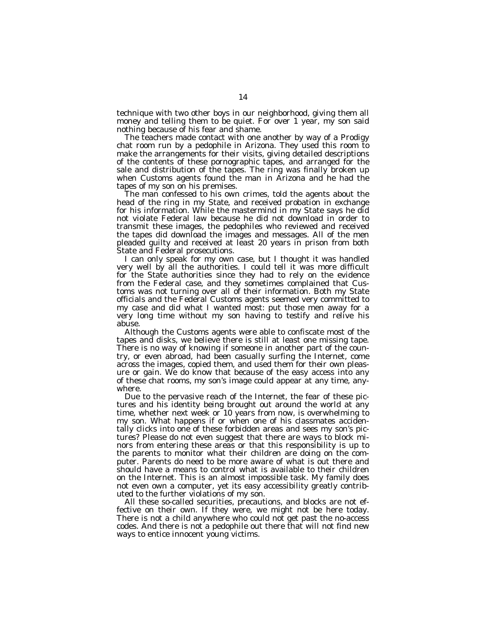technique with two other boys in our neighborhood, giving them all money and telling them to be quiet. For over 1 year, my son said nothing because of his fear and shame.

The teachers made contact with one another by way of a Prodigy chat room run by a pedophile in Arizona. They used this room to make the arrangements for their visits, giving detailed descriptions of the contents of these pornographic tapes, and arranged for the sale and distribution of the tapes. The ring was finally broken up when Customs agents found the man in Arizona and he had the tapes of my son on his premises.

The man confessed to his own crimes, told the agents about the head of the ring in my State, and received probation in exchange for his information. While the mastermind in my State says he did not violate Federal law because he did not download in order to transmit these images, the pedophiles who reviewed and received the tapes did download the images and messages. All of the men pleaded guilty and received at least 20 years in prison from both State and Federal prosecutions.

I can only speak for my own case, but I thought it was handled very well by all the authorities. I could tell it was more difficult for the State authorities since they had to rely on the evidence from the Federal case, and they sometimes complained that Customs was not turning over all of their information. Both my State officials and the Federal Customs agents seemed very committed to my case and did what I wanted most: put those men away for a very long time without my son having to testify and relive his abuse.

Although the Customs agents were able to confiscate most of the tapes and disks, we believe there is still at least one missing tape. There is no way of knowing if someone in another part of the country, or even abroad, had been casually surfing the Internet, come across the images, copied them, and used them for their own pleasure or gain. We do know that because of the easy access into any of these chat rooms, my son's image could appear at any time, anywhere.

Due to the pervasive reach of the Internet, the fear of these pictures and his identity being brought out around the world at any time, whether next week or 10 years from now, is overwhelming to my son. What happens if or when one of his classmates accidentally clicks into one of these forbidden areas and sees my son's pictures? Please do not even suggest that there are ways to block minors from entering these areas or that this responsibility is up to the parents to monitor what their children are doing on the computer. Parents do need to be more aware of what is out there and should have a means to control what is available to their children on the Internet. This is an almost impossible task. My family does not even own a computer, yet its easy accessibility greatly contributed to the further violations of my son.

All these so-called securities, precautions, and blocks are not effective on their own. If they were, we might not be here today. There is not a child anywhere who could not get past the no-access codes. And there is not a pedophile out there that will not find new ways to entice innocent young victims.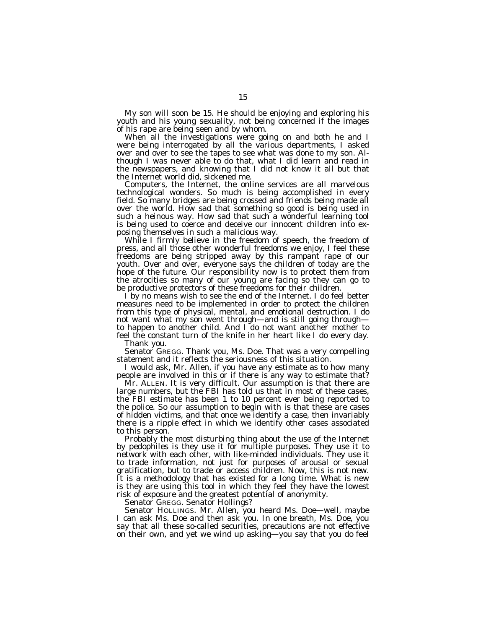My son will soon be 15. He should be enjoying and exploring his youth and his young sexuality, not being concerned if the images of his rape are being seen and by whom.

When all the investigations were going on and both he and I were being interrogated by all the various departments, I asked over and over to see the tapes to see what was done to my son. Although I was never able to do that, what I did learn and read in the newspapers, and knowing that I did not know it all but that the Internet world did, sickened me.

Computers, the Internet, the online services are all marvelous technological wonders. So much is being accomplished in every field. So many bridges are being crossed and friends being made all over the world. How sad that something so good is being used in such a heinous way. How sad that such a wonderful learning tool is being used to coerce and deceive our innocent children into exposing themselves in such a malicious way.

While I firmly believe in the freedom of speech, the freedom of press, and all those other wonderful freedoms we enjoy, I feel these freedoms are being stripped away by this rampant rape of our youth. Over and over, everyone says the children of today are the hope of the future. Our responsibility now is to protect them from the atrocities so many of our young are facing so they can go to be productive protectors of these freedoms for their children.

I by no means wish to see the end of the Internet. I do feel better measures need to be implemented in order to protect the children from this type of physical, mental, and emotional destruction. I do not want what my son went through—and is still going through to happen to another child. And I do not want another mother to feel the constant turn of the knife in her heart like I do every day. Thank you.

Senator GREGG. Thank you, Ms. Doe. That was a very compelling statement and it reflects the seriousness of this situation.

I would ask, Mr. Allen, if you have any estimate as to how many people are involved in this or if there is any way to estimate that?

Mr. ALLEN. It is very difficult. Our assumption is that there are large numbers, but the FBI has told us that in most of these cases, the FBI estimate has been 1 to 10 percent ever being reported to the police. So our assumption to begin with is that these are cases of hidden victims, and that once we identify a case, then invariably there is a ripple effect in which we identify other cases associated to this person.

Probably the most disturbing thing about the use of the Internet by pedophiles is they use it for multiple purposes. They use it to network with each other, with like-minded individuals. They use it to trade information, not just for purposes of arousal or sexual gratification, but to trade or access children. Now, this is not new. It is a methodology that has existed for a long time. What is new is they are using this tool in which they feel they have the lowest risk of exposure and the greatest potential of anonymity.

Senator GREGG. Senator Hollings?

Senator HOLLINGS. Mr. Allen, you heard Ms. Doe—well, maybe I can ask Ms. Doe and then ask you. In one breath, Ms. Doe, you say that all these so-called securities, precautions are not effective on their own, and yet we wind up asking—you say that you do feel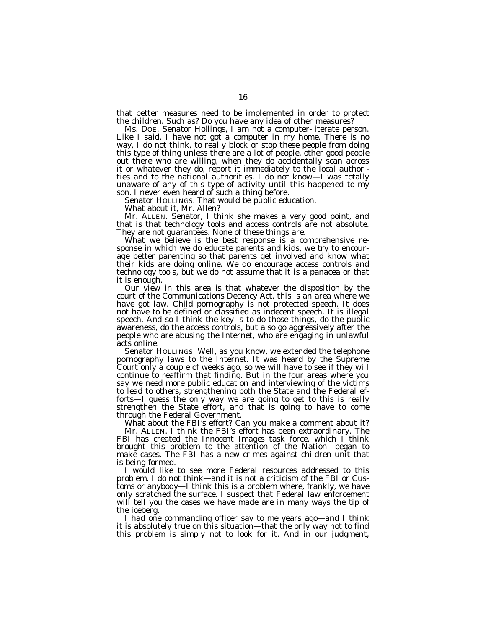that better measures need to be implemented in order to protect the children. Such as? Do you have any idea of other measures?

Ms. DOE. Senator Hollings, I am not a computer-literate person. Like I said, I have not got a computer in my home. There is no way, I do not think, to really block or stop these people from doing this type of thing unless there are a lot of people, other good people out there who are willing, when they do accidentally scan across it or whatever they do, report it immediately to the local authorities and to the national authorities. I do not know—I was totally unaware of any of this type of activity until this happened to my son. I never even heard of such a thing before.

Senator HOLLINGS. That would be public education.

What about it, Mr. Allen?

Mr. ALLEN. Senator, I think she makes a very good point, and that is that technology tools and access controls are not absolute. They are not guarantees. None of these things are.

What we believe is the best response is a comprehensive response in which we do educate parents and kids, we try to encourage better parenting so that parents get involved and know what their kids are doing online. We do encourage access controls and technology tools, but we do not assume that it is a panacea or that it is enough.

Our view in this area is that whatever the disposition by the court of the Communications Decency Act, this is an area where we have got law. Child pornography is not protected speech. It does not have to be defined or classified as indecent speech. It is illegal speech. And so I think the key is to do those things, do the public awareness, do the access controls, but also go aggressively after the people who are abusing the Internet, who are engaging in unlawful acts online.

Senator HOLLINGS. Well, as you know, we extended the telephone pornography laws to the Internet. It was heard by the Supreme Court only a couple of weeks ago, so we will have to see if they will continue to reaffirm that finding. But in the four areas where you say we need more public education and interviewing of the victims to lead to others, strengthening both the State and the Federal efforts—I guess the only way we are going to get to this is really strengthen the State effort, and that is going to have to come through the Federal Government.

What about the FBI's effort? Can you make a comment about it? Mr. ALLEN. I think the FBI's effort has been extraordinary. The FBI has created the *Innocent Images* task force, which I think brought this problem to the attention of the Nation—began to make cases. The FBI has a new crimes against children unit that is being formed.

I would like to see more Federal resources addressed to this problem. I do not think—and it is not a criticism of the FBI or Customs or anybody—I think this is a problem where, frankly, we have only scratched the surface. I suspect that Federal law enforcement will tell you the cases we have made are in many ways the tip of the iceberg.

I had one commanding officer say to me years ago—and I think it is absolutely true on this situation—that the only way not to find this problem is simply not to look for it. And in our judgment,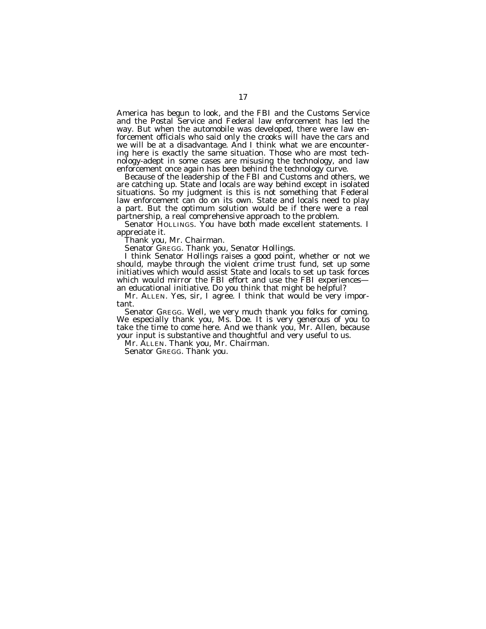America has begun to look, and the FBI and the Customs Service and the Postal Service and Federal law enforcement has led the way. But when the automobile was developed, there were law enforcement officials who said only the crooks will have the cars and we will be at a disadvantage. And I think what we are encountering here is exactly the same situation. Those who are most technology-adept in some cases are misusing the technology, and law enforcement once again has been behind the technology curve.

Because of the leadership of the FBI and Customs and others, we are catching up. State and locals are way behind except in isolated situations. So my judgment is this is not something that Federal law enforcement can do on its own. State and locals need to play a part. But the optimum solution would be if there were a real partnership, a real comprehensive approach to the problem.

Senator HOLLINGS. You have both made excellent statements. I appreciate it.

Thank you, Mr. Chairman.

Senator GREGG. Thank you, Senator Hollings.

I think Senator Hollings raises a good point, whether or not we should, maybe through the violent crime trust fund, set up some initiatives which would assist State and locals to set up task forces which would mirror the FBI effort and use the FBI experiences an educational initiative. Do you think that might be helpful?

Mr. ALLEN. Yes, sir, I agree. I think that would be very important.

Senator GREGG. Well, we very much thank you folks for coming. We especially thank you, Ms. Doe. It is very generous of you to take the time to come here. And we thank you, Mr. Allen, because your input is substantive and thoughtful and very useful to us.

Mr. ALLEN. Thank you, Mr. Chairman.

Senator GREGG. Thank you.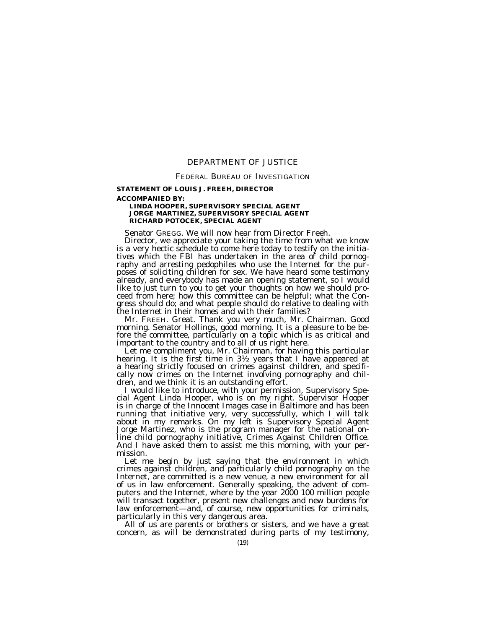# DEPARTMENT OF JUSTICE

## FEDERAL BUREAU OF INVESTIGATION

# **STATEMENT OF LOUIS J. FREEH, DIRECTOR**

#### **ACCOMPANIED BY:**

# **LINDA HOOPER, SUPERVISORY SPECIAL AGENT JORGE MARTINEZ, SUPERVISORY SPECIAL AGENT RICHARD POTOCEK, SPECIAL AGENT**

Senator GREGG. We will now hear from Director Freeh.<br>Director, we appreciate your taking the time from what we know is a very hectic schedule to come here today to testify on the initiatives which the FBI has undertaken in the area of child pornography and arresting pedophiles who use the Internet for the purposes of soliciting children for sex. We have heard some testimony already, and everybody has made an opening statement, so I would like to just turn to you to get your thoughts on how we should proceed from here; how this committee can be helpful; what the Congress should do; and what people should do relative to dealing with

the Internet in their homes and with their families? morning. Senator Hollings, good morning. It is a pleasure to be before the committee, particularly on a topic which is as critical and

Let me compliment you, Mr. Chairman, for having this particular hearing. It is the first time in  $3\frac{1}{2}$  years that I have appeared at a hearing strictly focused on crimes against children, and specifically now crimes on the Internet involving pornography and chil-<br>dren, and we think it is an outstanding effort.

I would like to introduce, with your permission, Supervisory Spe-<br>cial Agent Linda Hooper, who is on my right. Supervisor Hooper is in charge of the *Innocent Images* case in Baltimore and has been running that initiative very, very successfully, which I will talk about in my remarks. On my left is Supervisory Special Agent Jorge Martinez, who is the program manager for the national online child pornography initiative, Crimes Against Children Office. And I have asked them to assist me this morning, with your permission.

Let me begin by just saying that the environment in which crimes against children, and particularly child pornography on the Internet, are committed is a new venue, a new environment for all of us in law enforcement. Generally speaking, the advent of computers and the Internet, where by the year 2000 100 million people will transact together, present new challenges and new burdens for law enforcement—and, of course, new opportunities for criminals, particularly in this very dangerous area.

All of us are parents or brothers or sisters, and we have a great concern, as will be demonstrated during parts of my testimony,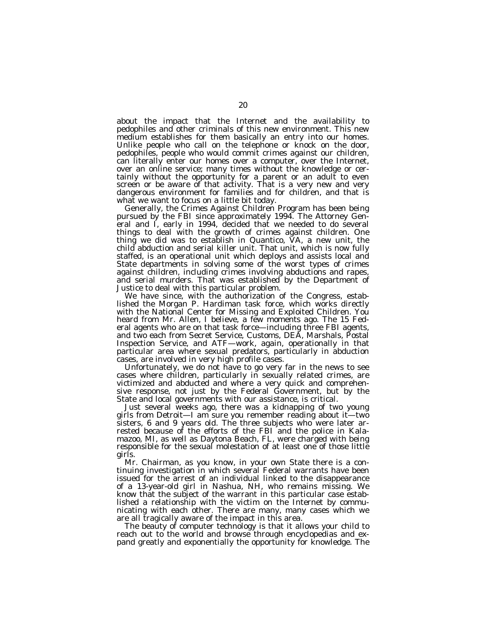about the impact that the Internet and the availability to pedophiles and other criminals of this new environment. This new medium establishes for them basically an entry into our homes. Unlike people who call on the telephone or knock on the door, pedophiles, people who would commit crimes against our children, can literally enter our homes over a computer, over the Internet, over an online service; many times without the knowledge or certainly without the opportunity for a parent or an adult to even screen or be aware of that activity. That is a very new and very dangerous environment for families and for children, and that is what we want to focus on a little bit today.

Generally, the Crimes Against Children Program has been being pursued by the FBI since approximately 1994. The Attorney General and I, early in 1994, decided that we needed to do several things to deal with the growth of crimes against children. One thing we did was to establish in Quantico, VA, a new unit, the child abduction and serial killer unit. That unit, which is now fully staffed, is an operational unit which deploys and assists local and State departments in solving some of the worst types of crimes against children, including crimes involving abductions and rapes, and serial murders. That was established by the Department of Justice to deal with this particular problem.

We have since, with the authorization of the Congress, established the Morgan P. Hardiman task force, which works directly with the National Center for Missing and Exploited Children. You heard from Mr. Allen, I believe, a few moments ago. The 15 Federal agents who are on that task force—including three FBI agents, and two each from Secret Service, Customs, DEA, Marshals, Postal Inspection Service, and ATF—work, again, operationally in that particular area where sexual predators, particularly in abduction cases, are involved in very high profile cases.

Unfortunately, we do not have to go very far in the news to see cases where children, particularly in sexually related crimes, are victimized and abducted and where a very quick and comprehensive response, not just by the Federal Government, but by the State and local governments with our assistance, is critical.

Just several weeks ago, there was a kidnapping of two young girls from Detroit—I am sure you remember reading about it—two sisters, 6 and 9 years old. The three subjects who were later arrested because of the efforts of the FBI and the police in Kalamazoo, MI, as well as Daytona Beach, FL, were charged with being responsible for the sexual molestation of at least one of those little girls.

Mr. Chairman, as you know, in your own State there is a continuing investigation in which several Federal warrants have been issued for the arrest of an individual linked to the disappearance of a 13-year-old girl in Nashua, NH, who remains missing. We know that the subject of the warrant in this particular case established a relationship with the victim on the Internet by communicating with each other. There are many, many cases which we are all tragically aware of the impact in this area.

The beauty of computer technology is that it allows your child to reach out to the world and browse through encyclopedias and expand greatly and exponentially the opportunity for knowledge. The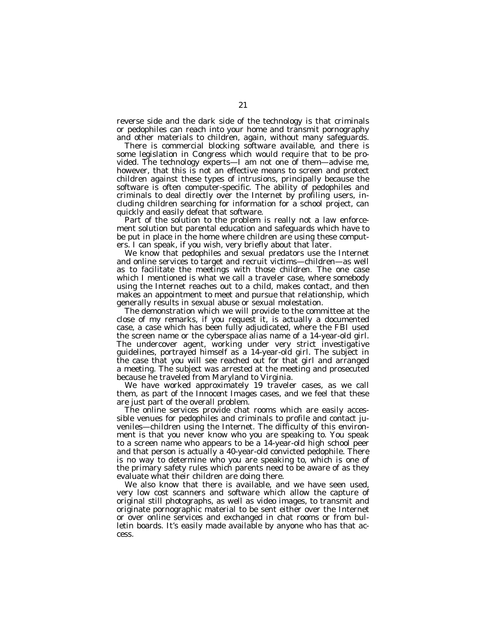reverse side and the dark side of the technology is that criminals or pedophiles can reach into your home and transmit pornography and other materials to children, again, without many safeguards.

There is commercial blocking software available, and there is some legislation in Congress which would require that to be provided. The technology experts—I am not one of them—advise me, however, that this is not an effective means to screen and protect children against these types of intrusions, principally because the software is often computer-specific. The ability of pedophiles and criminals to deal directly over the Internet by profiling users, including children searching for information for a school project, can quickly and easily defeat that software.

Part of the solution to the problem is really not a law enforcement solution but parental education and safeguards which have to be put in place in the home where children are using these computers. I can speak, if you wish, very briefly about that later.

We know that pedophiles and sexual predators use the Internet and online services to target and recruit victims—children—as well as to facilitate the meetings with those children. The one case which I mentioned is what we call a traveler case, where somebody using the Internet reaches out to a child, makes contact, and then makes an appointment to meet and pursue that relationship, which generally results in sexual abuse or sexual molestation.

The demonstration which we will provide to the committee at the close of my remarks, if you request it, is actually a documented case, a case which has been fully adjudicated, where the FBI used the screen name or the cyberspace alias name of a 14-year-old girl. The undercover agent, working under very strict investigative guidelines, portrayed himself as a 14-year-old girl. The subject in the case that you will see reached out for that girl and arranged a meeting. The subject was arrested at the meeting and prosecuted because he traveled from Maryland to Virginia.

We have worked approximately 19 traveler cases, as we call them, as part of the *Innocent Images* cases, and we feel that these are just part of the overall problem.

The online services provide chat rooms which are easily accessible venues for pedophiles and criminals to profile and contact juveniles—children using the Internet. The difficulty of this environment is that you never know who you are speaking to. You speak to a screen name who appears to be a 14-year-old high school peer and that person is actually a 40-year-old convicted pedophile. There is no way to determine who you are speaking to, which is one of the primary safety rules which parents need to be aware of as they evaluate what their children are doing there.

We also know that there is available, and we have seen used, very low cost scanners and software which allow the capture of original still photographs, as well as video images, to transmit and originate pornographic material to be sent either over the Internet or over online services and exchanged in chat rooms or from bulletin boards. It's easily made available by anyone who has that access.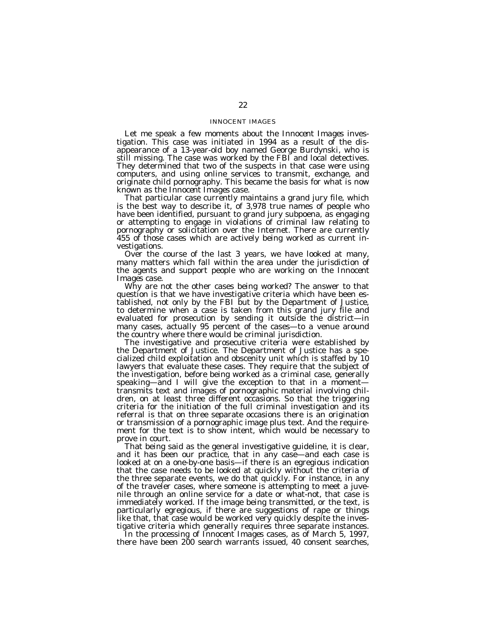## INNOCENT IMAGES

Let me speak a few moments about the *Innocent Images* investigation. This case was initiated in 1994 as a result of the disappearance of a 13-year-old boy named George Burdynski, who is still missing. The case was worked by the FBI and local detectives. They determined that two of the suspects in that case were using computers, and using online services to transmit, exchange, and originate child pornography. This became the basis for what is now known as the *Innocent Images* case.

That particular case currently maintains a grand jury file, which is the best way to describe it, of 3,978 true names of people who have been identified, pursuant to grand jury subpoena, as engaging or attempting to engage in violations of criminal law relating to pornography or solicitation over the Internet. There are currently 455 of those cases which are actively being worked as current investigations.

Over the course of the last 3 years, we have looked at many, many matters which fall within the area under the jurisdiction of the agents and support people who are working on the *Innocent Images* case.

Why are not the other cases being worked? The answer to that question is that we have investigative criteria which have been established, not only by the FBI but by the Department of Justice, to determine when a case is taken from this grand jury file and evaluated for prosecution by sending it outside the district—in many cases, actually 95 percent of the cases—to a venue around the country where there would be criminal jurisdiction.

The investigative and prosecutive criteria were established by the Department of Justice. The Department of Justice has a specialized child exploitation and obscenity unit which is staffed by 10 lawyers that evaluate these cases. They require that the subject of the investigation, before being worked as a criminal case, generally speaking—and I will give the exception to that in a moment transmits text and images of pornographic material involving children, on at least three different occasions. So that the triggering criteria for the initiation of the full criminal investigation and its referral is that on three separate occasions there is an origination or transmission of a pornographic image plus text. And the requirement for the text is to show intent, which would be necessary to prove in court.

That being said as the general investigative guideline, it is clear, and it has been our practice, that in any case—and each case is looked at on a one-by-one basis—if there is an egregious indication that the case needs to be looked at quickly without the criteria of the three separate events, we do that quickly. For instance, in any of the traveler cases, where someone is attempting to meet a juvenile through an online service for a date or what-not, that case is immediately worked. If the image being transmitted, or the text, is particularly egregious, if there are suggestions of rape or things like that, that case would be worked very quickly despite the investigative criteria which generally requires three separate instances.

In the processing of *Innocent Images* cases, as of March 5, 1997, there have been 200 search warrants issued, 40 consent searches,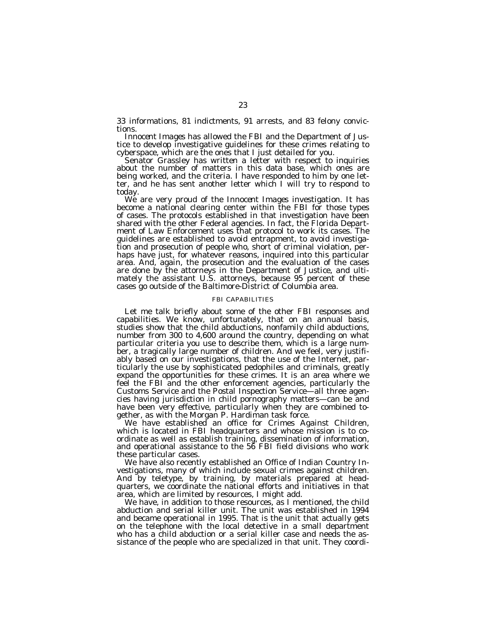33 informations, 81 indictments, 91 arrests, and 83 felony convictions.

*Innocent Images* has allowed the FBI and the Department of Justice to develop investigative guidelines for these crimes relating to cyberspace, which are the ones that I just detailed for you.

Senator Grassley has written a letter with respect to inquiries about the number of matters in this data base, which ones are being worked, and the criteria. I have responded to him by one letter, and he has sent another letter which I will try to respond to

today. We are very proud of the *Innocent Images* investigation. It has become a national clearing center within the FBI for those types of cases. The protocols established in that investigation have been shared with the other Federal agencies. In fact, the Florida Department of Law Enforcement uses that protocol to work its cases. The guidelines are established to avoid entrapment, to avoid investigation and prosecution of people who, short of criminal violation, perhaps have just, for whatever reasons, inquired into this particular area. And, again, the prosecution and the evaluation of the cases are done by the attorneys in the Department of Justice, and ultimately the assistant U.S. attorneys, because 95 percent of these cases go outside of the Baltimore-District of Columbia area.

## FBI CAPABILITIES

Let me talk briefly about some of the other FBI responses and capabilities. We know, unfortunately, that on an annual basis, studies show that the child abductions, nonfamily child abductions, number from 300 to 4,600 around the country, depending on what particular criteria you use to describe them, which is a large number, a tragically large number of children. And we feel, very justifiably based on our investigations, that the use of the Internet, particularly the use by sophisticated pedophiles and criminals, greatly expand the opportunities for these crimes. It is an area where we feel the FBI and the other enforcement agencies, particularly the Customs Service and the Postal Inspection Service—all three agencies having jurisdiction in child pornography matters—can be and have been very effective, particularly when they are combined together, as with the Morgan P. Hardiman task force.

We have established an office for Crimes Against Children, which is located in FBI headquarters and whose mission is to coordinate as well as establish training, dissemination of information, and operational assistance to the 56 FBI field divisions who work these particular cases.

We have also recently established an Office of Indian Country Investigations, many of which include sexual crimes against children. And by teletype, by training, by materials prepared at headquarters, we coordinate the national efforts and initiatives in that area, which are limited by resources, I might add.

We have, in addition to those resources, as I mentioned, the child abduction and serial killer unit. The unit was established in 1994 and became operational in 1995. That is the unit that actually gets on the telephone with the local detective in a small department who has a child abduction or a serial killer case and needs the assistance of the people who are specialized in that unit. They coordi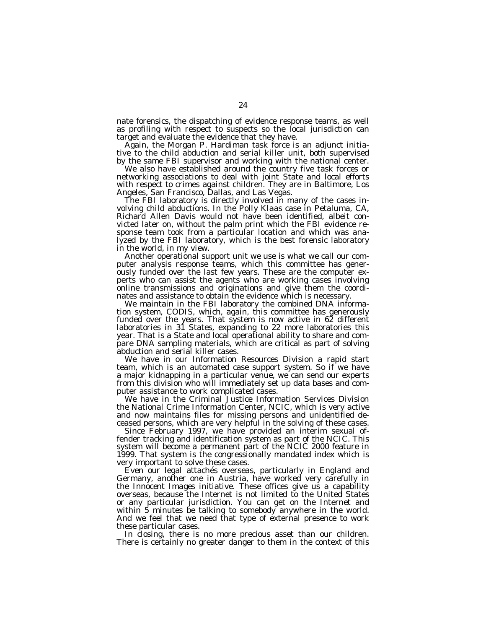nate forensics, the dispatching of evidence response teams, as well as profiling with respect to suspects so the local jurisdiction can target and evaluate the evidence that they have.

Again, the Morgan P. Hardiman task force is an adjunct initiative to the child abduction and serial killer unit, both supervised by the same FBI supervisor and working with the national center.

We also have established around the country five task forces or networking associations to deal with joint State and local efforts with respect to crimes against children. They are in Baltimore, Los Angeles, San Francisco, Dallas, and Las Vegas.

The FBI laboratory is directly involved in many of the cases involving child abductions. In the *Polly Klaas* case in Petaluma, CA, Richard Allen Davis would not have been identified, albeit convicted later on, without the palm print which the FBI evidence response team took from a particular location and which was analyzed by the FBI laboratory, which is the best forensic laboratory in the world, in my view.

Another operational support unit we use is what we call our computer analysis response teams, which this committee has generously funded over the last few years. These are the computer experts who can assist the agents who are working cases involving online transmissions and originations and give them the coordinates and assistance to obtain the evidence which is necessary.

We maintain in the FBI laboratory the combined DNA information system, CODIS, which, again, this committee has generously funded over the years. That system is now active in 62 different laboratories in 31 States, expanding to 22 more laboratories this year. That is a State and local operational ability to share and compare DNA sampling materials, which are critical as part of solving abduction and serial killer cases.

We have in our Information Resources Division a rapid start team, which is an automated case support system. So if we have a major kidnapping in a particular venue, we can send our experts from this division who will immediately set up data bases and computer assistance to work complicated cases.

We have in the Criminal Justice Information Services Division the National Crime Information Center, NCIC, which is very active and now maintains files for missing persons and unidentified deceased persons, which are very helpful in the solving of these cases.

Since February 1997, we have provided an interim sexual offender tracking and identification system as part of the NCIC. This system will become a permanent part of the NCIC 2000 feature in 1999. That system is the congressionally mandated index which is very important to solve these cases.

Even our legal attachés overseas, particularly in England and Germany, another one in Austria, have worked very carefully in the *Innocent Images* initiative. These offices give us a capability overseas, because the Internet is not limited to the United States or any particular jurisdiction. You can get on the Internet and within 5 minutes be talking to somebody anywhere in the world. And we feel that we need that type of external presence to work these particular cases.

In closing, there is no more precious asset than our children. There is certainly no greater danger to them in the context of this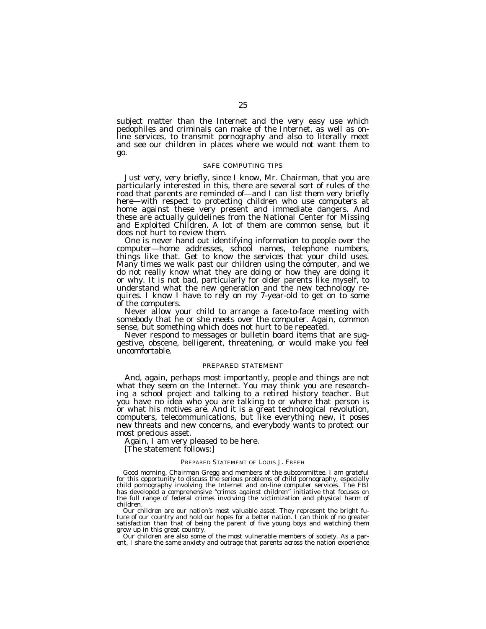subject matter than the Internet and the very easy use which pedophiles and criminals can make of the Internet, as well as online services, to transmit pornography and also to literally meet and see our children in places where we would not want them to go.

# SAFE COMPUTING TIPS

Just very, very briefly, since I know, Mr. Chairman, that you are particularly interested in this, there are several sort of rules of the road that parents are reminded of—and I can list them very briefly here—with respect to protecting children who use computers at home against these very present and immediate dangers. And these are actually guidelines from the National Center for Missing and Exploited Children. A lot of them are common sense, but it does not hurt to review them.<br>One is never hand out identifying information to people over the

computer—home addresses, school names, telephone numbers, things like that. Get to know the services that your child uses. Many times we walk past our children using the computer, and we do not really know what they are doing or how they are doing it or why. It is not bad, particularly for older parents like myself, to understand what the new generation and the new technology requires. I know I have to rely on my 7-year-old to get on to some of the computers.

Never allow your child to arrange a face-to-face meeting with somebody that he or she meets over the computer. Again, common sense, but something which does not hurt to be repeated.

Never respond to messages or bulletin board items that are suggestive, obscene, belligerent, threatening, or would make you feel uncomfortable.

## PREPARED STATEMENT

And, again, perhaps most importantly, people and things are not what they seem on the Internet. You may think you are researching a school project and talking to a retired history teacher. But you have no idea who you are talking to or where that person is or what his motives are. And it is a great technological revolution, computers, telecommunications, but like everything new, it poses new threats and new concerns, and everybody wants to protect our most precious asset.

Again, I am very pleased to be here.

[The statement follows:]

#### PREPARED STATEMENT OF LOUIS J. FREEH

Good morning, Chairman Gregg and members of the subcommittee. I am grateful for this opportunity to discuss the serious problems of child pornography, especially child pornography involving the Internet and on-line computer services. The FBI has developed a comprehensive ''crimes against children'' initiative that focuses on the full range of federal crimes involving the victimization and physical harm of children.

Our children are our nation's most valuable asset. They represent the bright future of our country and hold our hopes for a better nation. I can think of no greater satisfaction than that of being the parent of five young boys and watching them grow up in this great country.

Our children are also some of the most vulnerable members of society. As a parent, I share the same anxiety and outrage that parents across the nation experience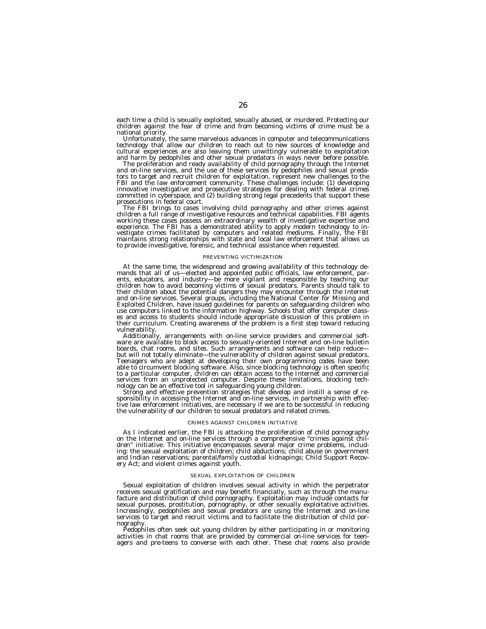each time a child is sexually exploited, sexually abused, or murdered. Protecting our children against the fear of crime and from becoming victims of crime must be a

national priority. Unfortunately, the same marvelous advances in computer and telecommunications technology that allow our children to reach out to new sources of knowledge and cultural experiences are also leaving them unwittingly vulnerable to exploitation and harm by pedophiles and other sexual predators in ways never before possible. The proliferation and ready availability of child pornography through the Internet

tors to target and on-line services, and the use of these services by pedophiles and sexual preda-<br>tors to target and recruit children for exploitation, represent new challenges to the FBI and the law enforcement community. These challenges include: (1) developing<br>innovative investigative and prosecutive strategies for dealing with federal crimes<br>committed in cyberspace, and (2) building strong legal pre

The FBI brings to cases involving child pornography and other crimes against children a full range of investigative resources and technical capabilities. FBI agents working these cases possess an extraordinary wealth of investigative expertise and<br>experience. The FBI has a demonstrated ability to apply modern technology to in-<br>vestigate crimes facilitated by computers and related medi to provide investigative, forensic, and technical assistance when requested.

#### PREVENTING VICTIMIZATION

At the same time, the widespread and growing availability of this technology de-<br>mands that all of us—elected and appointed public officials, law enforcement, par-<br>ents, educators, and industry—be more vigilant and respons their curriculum. Creating awareness of the problem is a first step toward reducing

Additionally, arrangements with on-line service providers and commercial soft- ware are available to block access to sexually-oriented Internet and on-line bulletin boards, chat rooms, and sites. Such arrangements and software can help reduce— but will not totally eliminate—the vulnerability of children against sexual predators. Teenagers who are adept at developing their own programming codes have been able to circumvent blocking software. Also, since blocking technology is often specific to a particular computer, children can obtain access to the Internet and commercial services from an unprotected computer. Despite these limitations, blocking technology can be an effective tool in safeguarding young children.<br>Strong and effective prevention strategies that develop and instill a sense of re-

Exponsibility in accessing the Internet and on-line services, in partnership with effective law enforcement initiatives, are necessary if we are to be successful in reducing the vulnerability of our children to sexual predators and related crimes.

#### CRIMES AGAINST CHILDREN INITIATIVE

As I indicated earlier, the FBI is attacking the proliferation of child pornography on the Internet and on-line services through a comprehensive ''crimes against children" initiative. This initiative encompasses several major crime problems, includ-<br>ing: the sexual exploitation of children; child abductions; child abuse on government and Indian reservations; parental/family custodial kidnapings; Child Support Recovery Act; and violent crimes against youth.

#### SEXUAL EXPLOITATION OF CHILDREN

Sexual exploitation of children involves sexual activity in which the perpetrator receives sexual gratification and may benefit financially, such as through the manufacture and distribution of child pornography. Exploitation may include contacts for sexual purposes, prostitution, pornography, or other sexually exploitative activities. Increasingly, pedophiles and sexual predators are using the Internet and on-line services to target and recruit victims and to facilitate the distribution of child por-

nography. Pedophiles often seek out young children by either participating in or monitoring activities in chat rooms that are provided by commercial on-line services for teenagers and pre-teens to converse with each other. These chat rooms also provide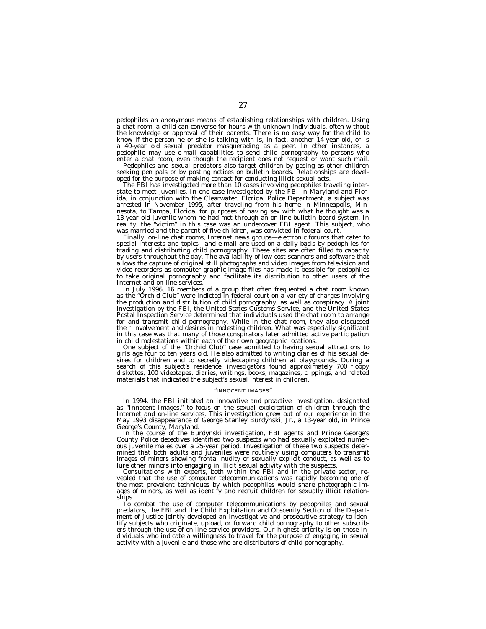pedophiles an anonymous means of establishing relationships with children. Using a chat room, a child can converse for hours with unknown individuals, often without the knowledge or approval of their parents. There is no easy way for the child to know if the person he or she is talking with is, in fact, another 14-year old, or is a 40-year old sexual predator masquerading as a peer. In other instances, a pedophile may use e-mail capabilities to send child pornography to persons who enter a chat room, even though the recipient does not request or want such mail.

Pedophiles and sexual predators also target children by posing as other children seeking pen pals or by posting notices on bulletin boards. Relationships are developed for the purpose of making contact for conducting illicit sexual acts.

The FBI has investigated more than 10 cases involving pedophiles traveling interstate to meet juveniles. In one case investigated by the FBI in Maryland and Florida, in conjunction with the Clearwater, Florida, Police Department, a subject was arrested in November 1995, after traveling from his home in Minneapolis, Minnesota, to Tampa, Florida, for purposes of having sex with what he thought was a 13-year old juvenile whom he had met through an on-line bulletin board system. In reality, the ''victim'' in this case was an undercover FBI agent. This subject, who was married and the parent of five children, was convicted in federal court.

Finally, on-line chat rooms, Internet news groups—electronic forums that cater to special interests and topics—and e-mail are used on a daily basis by pedophiles for trading and distributing child pornography. These sites are often filled to capacity by users throughout the day. The availability of low cost scanners and software that allows the capture of original still photographs and video images from television and video recorders as computer graphic image files has made it possible for pedophiles to take original pornography and facilitate its distribution to other users of the Internet and on-line services.

In July 1996, 16 members of a group that often frequented a chat room known as the ''Orchid Club'' were indicted in federal court on a variety of charges involving the production and distribution of child pornography, as well as conspiracy. A joint investigation by the FBI, the United States Customs Service, and the United States Postal Inspection Service determined that individuals used the chat room to arrange for and transmit child pornography. While in the chat room, they also discussed their involvement and desires in molesting children. What was especially significant in this case was that many of those conspirators later admitted active participation in child molestations within each of their own geographic locations.

One subject of the ''Orchid Club'' case admitted to having sexual attractions to girls age four to ten years old. He also admitted to writing diaries of his sexual desires for children and to secretly videotaping children at playgrounds. During a search of this subject's residence, investigators found approximately 700 floppy diskettes, 100 videotapes, diaries, writings, books, magazines, clippings, and related materials that indicated the subject's sexual interest in children.

#### ''INNOCENT IMAGES''

In 1994, the FBI initiated an innovative and proactive investigation, designated as ''Innocent Images,'' to focus on the sexual exploitation of children through the Internet and on-line services. This investigation grew out of our experience in the May 1993 disappearance of George Stanley Burdynski, Jr., a 13-year old, in Prince George's County, Maryland.

In the course of the Burdynski investigation, FBI agents and Prince George's County Police detectives identified two suspects who had sexually exploited numerous juvenile males over a 25-year period. Investigation of these two suspects determined that both adults and juveniles were routinely using computers to transmit images of minors showing frontal nudity or sexually explicit conduct, as well as to lure other minors into engaging in illicit sexual activity with the suspects.

Consultations with experts, both within the FBI and in the private sector, revealed that the use of computer telecommunications was rapidly becoming one of the most prevalent techniques by which pedophiles would share photographic images of minors, as well as identify and recruit children for sexually illicit relationships.

To combat the use of computer telecommunications by pedophiles and sexual predators, the FBI and the Child Exploitation and Obscenity Section of the Department of Justice jointly developed an investigative and prosecutive strategy to identify subjects who originate, upload, or forward child pornography to other subscribers through the use of on-line service providers. Our highest priority is on those individuals who indicate a willingness to travel for the purpose of engaging in sexual activity with a juvenile and those who are distributors of child pornography.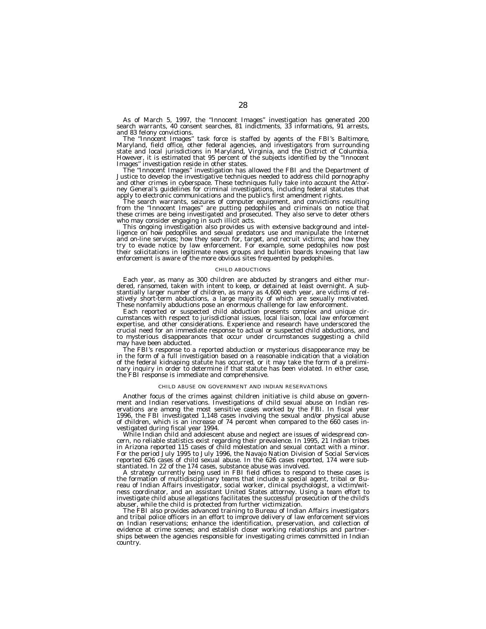As of March 5, 1997, the ''Innocent Images'' investigation has generated 200 search warrants, 40 consent searches, 81 indictments, 33 informations, 91 arrests,

and 83 felony convictions.<br>The "Innocent Images" task force is staffed by agents of the FBI's Baltimore, Maryland, field office, other federal agencies, and investigators from surrounding state and local jurisdictions in Maryland, Virginia, and the District of Columbia. However, it is estimated that 95 percent of the subjects identified by the ''Innocent

Images'' investigation reside in other states. The ''Innocent Images'' investigation has allowed the FBI and the Department of Justice to develop the investigative techniques needed to address child pornography and other crimes in cyberspace. These techniques fully take into account the Attorney General's guidelines for criminal investigations, including federal statutes that apply to electronic communications and the public's first amendment rights.

apply to electronic communications and the public's first amendment rights.<br>The search warrants, seizures of computer equipment, and convictions resulting<br>from the "Innocent Images" are putting pedophiles and criminals on

who may consider engaging in such illicit acts.<br>This ongoing investigation also provides us with extensive background and intel-<br>ligence on how pedophiles and sexual predators use and manipulate the Internet<br>and on-line se their solicitations in legitimate news groups and bulletin boards knowing that law enforcement is aware of the more obvious sites frequented by pedophiles.

#### CHILD ABDUCTIONS

Each year, as many as 300 children are abducted by strangers and either murdered, ransomed, taken with intent to keep, or detained at least overnight. A substantially larger number of children, as many as 4,600 each year, are victims of relatively short-term abductions, a large majority of which are sexually motivated. These nonfamily abductions pose an enormous challenge for law enforcement.

Each reported or suspected child abduction presents complex and unique circumstances with respect to jurisdictional issues, local liaison, local law enforcement expertise, and other considerations. Experience and research have underscored the crucial need for an immediate response to actual or suspected child abductions, and to mysterious disappearances that occur under circumstances suggesting a child may have been abducted.

The FBI's response to a reported abduction or mysterious disappearance may be in the form of a full investigation based on a reasonable indication that a violation of the federal kidnaping statute has occurred, or it may take the form of a preliminary inquiry in order to determine if that statute has been violated. In either case, the FBI response is immediate and comprehensive.

#### CHILD ABUSE ON GOVERNMENT AND INDIAN RESERVATIONS

Another focus of the crimes against children initiative is child abuse on government and Indian reservations. Investigations of child sexual abuse on Indian reservations are among the most sensitive cases worked by the FBI. In fiscal year 1996, the FBI investigated 1,148 cases involving the sexual and/or physical abuse of children, which is an increase of 74 percent when compared to the 660 cases investigated during fiscal year 1994.

While Indian child and adolescent abuse and neglect are issues of widespread concern, no reliable statistics exist regarding their prevalence. In 1995, 21 Indian tribes in Arizona reported 115 cases of child molestation and sexual contact with a minor. For the period July 1995 to July 1996, the Navajo Nation Division of Social Services reported 626 cases of child sexual abuse. In the 626 cases reported, 174 were substantiated. In 22 of the 174 cases, substance abuse was involved.

A strategy currently being used in FBI field offices to respond to these cases is the formation of multidisciplinary teams that include a special agent, tribal or Bureau of Indian Affairs investigator, social worker, clinical psychologist, a victim/witness coordinator, and an assistant United States attorney. Using a team effort to investigate child abuse allegations facilitates the successful prosecution of the child's abuser, while the child is protected from further victimization.

The FBI also provides advanced training to Bureau of Indian Affairs investigators and tribal police officers in an effort to improve delivery of law enforcement services on Indian reservations; enhance the identification, preservation, and collection of evidence at crime scenes; and establish closer working relationships and partnerships between the agencies responsible for investigating crimes committed in Indian country.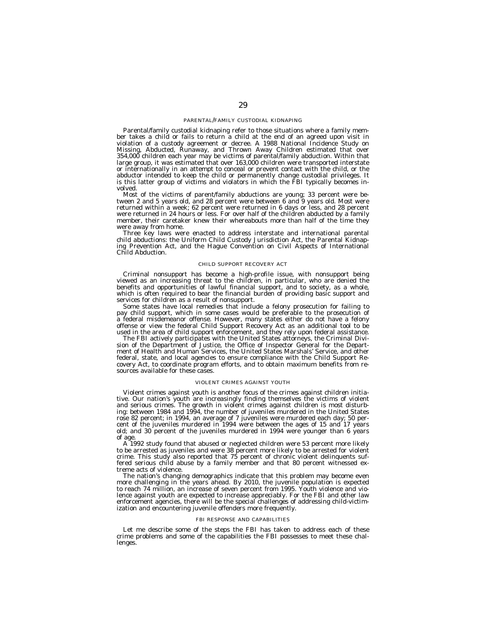#### PARENTAL/FAMILY CUSTODIAL KIDNAPING

Parental/family custodial kidnaping refer to those situations where a family member takes a child or fails to return a child at the end of an agreed upon visit in violation of a custody agreement or decree. A 1988 National Incidence Study on Missing, Abducted, Runaway, and Thrown Away Children estimated that over 354,000 children each year may be victims of parental/family abduction. Within that large group, it was estimated that over 163,000 children were transported interstate or internationally in an attempt to conceal or prevent contact with the child, or the abductor intended to keep the child or permanently change custodial privileges. It is this latter group of victims and violators in which the FBI typically becomes involved.

Most of the victims of parent/family abductions are young; 33 percent were between 2 and 5 years old, and 28 percent were between 6 and 9 years old. Most were returned within a week; 62 percent were returned in 6 days or less, and 28 percent were returned in 24 hours or less. For over half of the children abducted by a family member, their caretaker knew their whereabouts more than half of the time they were away from home.

Three key laws were enacted to address interstate and international parental child abductions: the Uniform Child Custody Jurisdiction Act, the Parental Kidnaping Prevention Act, and the Hague Convention on Civil Aspects of International Child Abduction.

#### CHILD SUPPORT RECOVERY ACT

Criminal nonsupport has become a high-profile issue, with nonsupport being viewed as an increasing threat to the children, in particular, who are denied the benefits and opportunities of lawful financial support, and to society, as a whole, which is often required to bear the financial burden of providing basic support and services for children as a result of nonsupport.

Some states have local remedies that include a felony prosecution for failing to pay child support, which in some cases would be preferable to the prosecution of a federal misdemeanor offense. However, many states either do not have a felony offense or view the federal Child Support Recovery Act as an additional tool to be used in the area of child support enforcement, and they rely upon federal assistance.

The FBI actively participates with the United States attorneys, the Criminal Division of the Department of Justice, the Office of Inspector General for the Department of Health and Human Services, the United States Marshals' Service, and other federal, state, and local agencies to ensure compliance with the Child Support Recovery Act, to coordinate program efforts, and to obtain maximum benefits from resources available for these cases.

#### VIOLENT CRIMES AGAINST YOUTH

Violent crimes against youth is another focus of the crimes against children initiative. Our nation's youth are increasingly finding themselves the victims of violent and serious crimes. The growth in violent crimes against children is most disturbing: between 1984 and 1994, the number of juveniles murdered in the United States rose 82 percent; in 1994, an average of 7 juveniles were murdered each day; 50 percent of the juveniles murdered in 1994 were between the ages of 15 and 17 years old; and 30 percent of the juveniles murdered in 1994 were younger than 6 years of age.

A 1992 study found that abused or neglected children were 53 percent more likely to be arrested as juveniles and were 38 percent more likely to be arrested for violent crime. This study also reported that 75 percent of chronic violent delinquents suffered serious child abuse by a family member and that 80 percent witnessed extreme acts of violence.

The nation's changing demographics indicate that this problem may become even more challenging in the years ahead. By 2010, the juvenile population is expected to reach 74 million, an increase of seven percent from 1995. Youth violence and violence against youth are expected to increase appreciably. For the FBI and other law enforcement agencies, there will be the special challenges of addressing child-victimization and encountering juvenile offenders more frequently.

#### FBI RESPONSE AND CAPABILITIES

Let me describe some of the steps the FBI has taken to address each of these crime problems and some of the capabilities the FBI possesses to meet these challenges.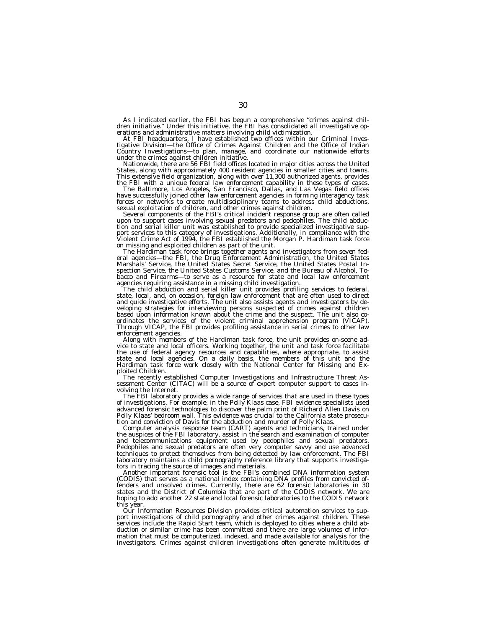As I indicated earlier, the FBI has begun a comprehensive "crimes against children initiative." Under this initiative, the FBI has consolidated all investigative operations and administrative matters involving child victim

erations and administrative matters involving child victimization.<br>At FBI headquarters, I have established two offices within our Criminal Inves-<br>tigative Division—the Office of Crimes Against Children and the Office of In Country Investigations—to plan, manage, and coordinate our nationwide efforts

Nationwide, there are 56 FBI field offices located in major cities across the United States, along with approximately 400 resident agencies in smaller cities and towns.

This extensive field organization, along with over 11,300 authorized agents, provides<br>the FBI with a unique federal law enforcement capability in these types of cases.<br>The Baltimore, Los Angeles, San Francisco, Dallas, and forces or networks to create multidisciplinary teams to address child abductions,<br>sexual exploitation of children, and other crimes against children.

Sexual exponention of the FBI's critical incident response group are often called<br>upon to support cases involving sexual predators and pedophiles. The child abduction and serial killer unit was established to provide specialized investigative support services to this category of investigations. Additionally, in compliance with the Violent Crime Act of 1994, the FBI established the Morgan P. Hardiman task force

on missing and exploited children as part of the unit.<br>The Hardiman task force brings together agents and investigators from seven fed-<br>eral agencies—the FBI, the Drug Enforcement Administration, the United States Marshals' Service, the United States Secret Service, the United States Postal In-spection Service, the United States Customs Service, and the Bureau of Alcohol, Tobacco and Firearms—to serve as a resource for state and local law enforcement

The child abduction and serial killer unit provides profiling services to federal, state, local, and, on occasion, foreign law enforcement that are often used to direct and guide investigative efforts. The unit also assists agents and investigators by developing strategies for interviewing persons suspected of crimes against children<br>based upon information known about the crime and the suspect. The unit also co-<br>ordinates the services of the violent criminal apprehension Through VICAP, the FBI provides profiling assistance in serial crimes to other law

Along with members of the Hardiman task force, the unit provides on-scene ad- vice to state and local officers. Working together, the unit and task force facilitate the use of federal agency resources and capabilities, where appropriate, to assist state and local agencies. On a daily basis, the members of this unit and the Hardiman task force work closely with the National Center for Missing and Exploited Children.

The recently established Computer Investigations and Infrastructure Threat Assessment Center (CITAC) will be a source of expert computer support to cases involving the Internet.

The FBI laboratory provides a wide range of services that are used in these types of investigations. For example, in the *Polly Klaas* case, FBI evidence specialists used advanced forensic technologies to discover the palm print of Richard Allen Davis on Polly Klaas' bedroom wall. This evidence was crucial to the California state prosecution and conviction of Davis for the abduction and murder of Polly Klaas.

Computer analysis response team (CART) agents and technicians, trained under the auspices of the FBI laboratory, assist in the search and examination of computer and telecommunications equipment used by pedophiles and sexual predators. Pedophiles and sexual predators are often very computer savvy and use advanced techniques to protect themselves from being detected by law enforcement. The FBI laboratory maintains a child pornography reference library that supports investigators in tracing the source of images and materials.

Another important forensic tool is the FBI's combined DNA information system (CODIS) that serves as a national index containing DNA profiles from convicted offenders and unsolved crimes. Currently, there are 62 forensic laboratories in 30 states and the District of Columbia that are part of the CODIS network. We are hoping to add another 22 state and local forensic laboratories to the CODIS network this year.

Our Information Resources Division provides critical automation services to support investigations of child pornography and other crimes against children. These services include the Rapid Start team, which is deployed to cities where a child abduction or similar crime has been committed and there are large volumes of information that must be computerized, indexed, and made available for analysis for the investigators. Crimes against children investigations often generate multitudes of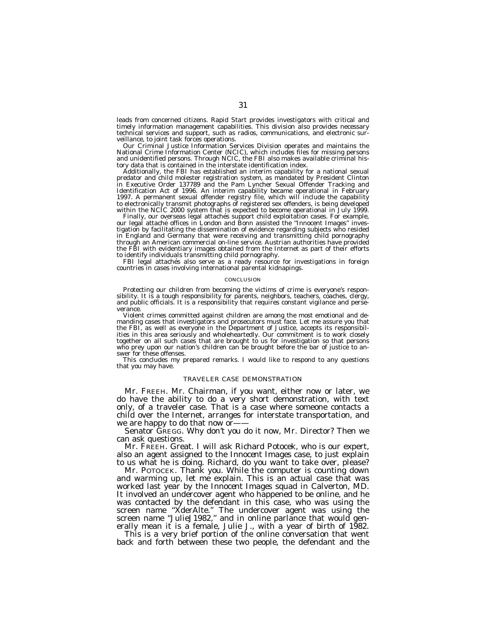leads from concerned citizens. Rapid Start provides investigators with critical and timely information management capabilities. This division also provides necessary technical services and support, such as radios, communications, and electronic surveillance, to joint task forces operations.

Our Criminal Justice Information Services Division operates and maintains the National Crime Information Center (NCIC), which includes files for missing persons and unidentified persons. Through NCIC, the FBI also makes available criminal history data that is contained in the interstate identification index.

Additionally, the FBI has established an interim capability for a national sexual predator and child molester registration system, as mandated by President Clinton in Executive Order 137789 and the Pam Lyncher Sexual Offender Tracking and Identification Act of 1996. An interim capability became operational in February 1997. A permanent sexual offender registry file, which will include the capability to electronically transmit photographs of registered sex offenders, is being developed within the NCIC 2000 system that is expected to become operational in July 1999.<br>Finally, our overseas legal attachés support child exploitation cases. For example,

our legal attache offices in London and Bonn assisted the "Innocent Images" investigation by facilitating the dissemination of evidence regarding subjects who resided in England and Germany that were receiving and transmitting child pornography through an American commercial on-line service. Austrian authorities have provided the FBI with evidentiary images obtained from the Internet as part of their efforts to identify individuals transmitting child pornography.

FBI legal attachés also serve as a ready resource for investigations in foreign countries in cases involving international parental kidnapings.

#### **CONCLUSION**

Protecting our children from becoming the victims of crime is everyone's responsibility. It is a tough responsibility for parents, neighbors, teachers, coaches, clergy, and public officials. It is a responsibility that requires constant vigilance and perseverance.

Violent crimes committed against children are among the most emotional and demanding cases that investigators and prosecutors must face. Let me assure you that the FBI, as well as everyone in the Department of Justice, accepts its responsibilities in this area seriously and wholeheartedly. Our commitment is to work closely together on all such cases that are brought to us for investigation so that persons who prey upon our nation's children can be brought before the bar of justice to answer for these offenses.

This concludes my prepared remarks. I would like to respond to any questions that you may have.

#### TRAVELER CASE DEMONSTRATION

Mr. FREEH. Mr. Chairman, if you want, either now or later, we do have the ability to do a very short demonstration, with text only, of a traveler case. That is a case where someone contacts a child over the Internet, arranges for interstate transportation, and we are happy to do that now or-

Senator GREGG. Why don't you do it now, Mr. Director? Then we can ask questions.

Mr. FREEH. Great. I will ask Richard Potocek, who is our expert, also an agent assigned to the *Innocent Images* case, to just explain to us what he is doing. Richard, do you want to take over, please?

Mr. POTOCEK. Thank you. While the computer is counting down and warming up, let me explain. This is an actual case that was worked last year by the *Innocent Images* squad in Calverton, MD. It involved an undercover agent who happened to be online, and he was contacted by the defendant in this case, who was using the screen name ''XderAlte.'' The undercover agent was using the screen name ''JulieJ1982,'' and in online parlance that would generally mean it is a female, Julie J., with a year of birth of 1982.

This is a very brief portion of the online conversation that went back and forth between these two people, the defendant and the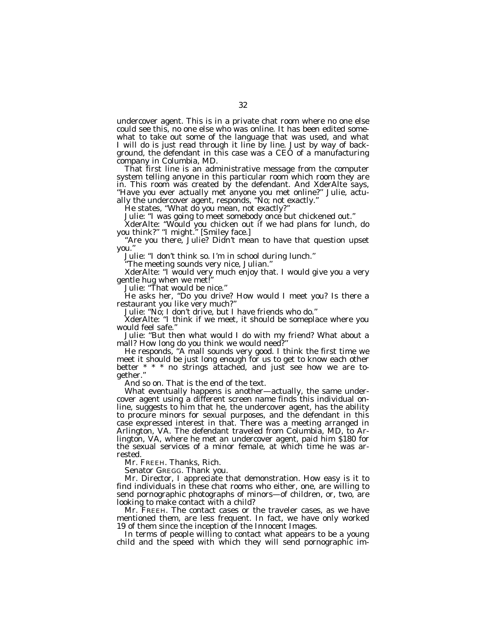undercover agent. This is in a private chat room where no one else could see this, no one else who was online. It has been edited somewhat to take out some of the language that was used, and what I will do is just read through it line by line. Just by way of background, the defendant in this case was a CEO of a manufacturing company in Columbia, MD.

That first line is an administrative message from the computer system telling anyone in this particular room which room they are in. This room was created by the defendant. And XderAlte says, ''Have you ever actually met anyone you met online?'' Julie, actually the undercover agent, responds, ''No; not exactly.''

He states, "What do you mean, not exactly?"

Julie: ''I was going to meet somebody once but chickened out.''

XderAlte: ''Would you chicken out if we had plans for lunch, do you think?" "I might." [Smiley face.]

''Are you there, Julie? Didn't mean to have that question upset you.''

Julie: ''I don't think so. I'm in school during lunch.''

''The meeting sounds very nice, Julian.''

XderAlte: ''I would very much enjoy that. I would give you a very gentle hug when we met!''

Julie: ''That would be nice.''

He asks her, ''Do you drive? How would I meet you? Is there a restaurant you like very much?''

Julie: ''No; I don't drive, but I have friends who do.''

XderAlte: ''I think if we meet, it should be someplace where you would feel safe.''

Julie: ''But then what would I do with my friend? What about a mall? How long do you think we would need?

He responds, ''A mall sounds very good. I think the first time we meet it should be just long enough for us to get to know each other better \* \* \* no strings attached, and just see how we are together.''

And so on. That is the end of the text.

What eventually happens is another—actually, the same undercover agent using a different screen name finds this individual online, suggests to him that he, the undercover agent, has the ability to procure minors for sexual purposes, and the defendant in this case expressed interest in that. There was a meeting arranged in Arlington, VA. The defendant traveled from Columbia, MD, to Arlington, VA, where he met an undercover agent, paid him \$180 for the sexual services of a minor female, at which time he was arrested.

Mr. FREEH. Thanks, Rich.

Senator GREGG. Thank you.

Mr. Director, I appreciate that demonstration. How easy is it to find individuals in these chat rooms who either, one, are willing to send pornographic photographs of minors—of children, or, two, are looking to make contact with a child?

Mr. FREEH. The contact cases or the traveler cases, as we have mentioned them, are less frequent. In fact, we have only worked 19 of them since the inception of the *Innocent Images*. In terms of people willing to contact what appears to be a young

child and the speed with which they will send pornographic im-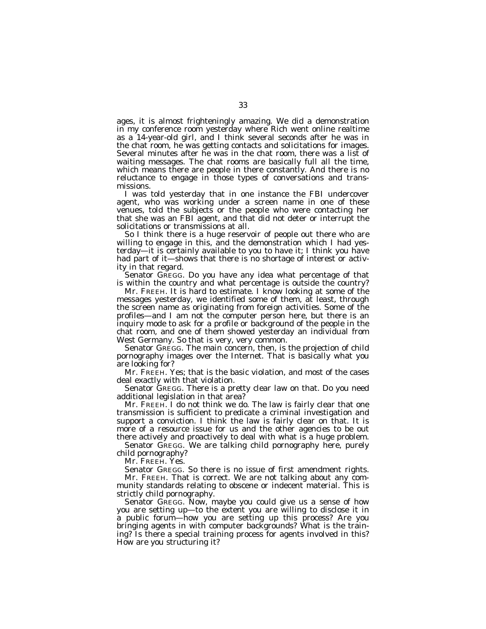ages, it is almost frighteningly amazing. We did a demonstration in my conference room yesterday where Rich went online realtime as a 14-year-old girl, and I think several seconds after he was in the chat room, he was getting contacts and solicitations for images. Several minutes after he was in the chat room, there was a list of waiting messages. The chat rooms are basically full all the time, which means there are people in there constantly. And there is no reluctance to engage in those types of conversations and transmissions.

I was told yesterday that in one instance the FBI undercover agent, who was working under a screen name in one of these venues, told the subjects or the people who were contacting her that she was an FBI agent, and that did not deter or interrupt the solicitations or transmissions at all.

So I think there is a huge reservoir of people out there who are willing to engage in this, and the demonstration which I had yesterday—it is certainly available to you to have it; I think you have had part of it—shows that there is no shortage of interest or activity in that regard.

Senator GREGG. Do you have any idea what percentage of that is within the country and what percentage is outside the country?

Mr. FREEH. It is hard to estimate. I know looking at some of the messages yesterday, we identified some of them, at least, through the screen name as originating from foreign activities. Some of the profiles—and I am not the computer person here, but there is an inquiry mode to ask for a profile or background of the people in the chat room, and one of them showed yesterday an individual from West Germany. So that is very, very common.

Senator GREGG. The main concern, then, is the projection of child pornography images over the Internet. That is basically what you are looking for?

Mr. FREEH. Yes; that is the basic violation, and most of the cases deal exactly with that violation.

Senator GREGG. There is a pretty clear law on that. Do you need additional legislation in that area?

Mr. FREEH. I do not think we do. The law is fairly clear that one transmission is sufficient to predicate a criminal investigation and support a conviction. I think the law is fairly clear on that. It is more of a resource issue for us and the other agencies to be out there actively and proactively to deal with what is a huge problem.

Senator GREGG. We are talking child pornography here, purely child pornography?

Mr. FREEH. Yes.

Senator GREGG. So there is no issue of first amendment rights. Mr. FREEH. That is correct. We are not talking about any community standards relating to obscene or indecent material. This is strictly child pornography.

Senator GREGG. Now, maybe you could give us a sense of how you are setting up—to the extent you are willing to disclose it in a public forum—how you are setting up this process? Are you bringing agents in with computer backgrounds? What is the training? Is there a special training process for agents involved in this? How are you structuring it?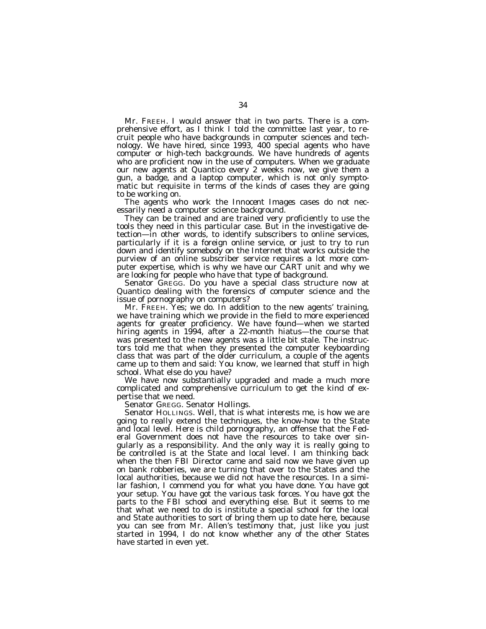Mr. FREEH. I would answer that in two parts. There is a comprehensive effort, as I think I told the committee last year, to recruit people who have backgrounds in computer sciences and technology. We have hired, since 1993, 400 special agents who have computer or high-tech backgrounds. We have hundreds of agents who are proficient now in the use of computers. When we graduate our new agents at Quantico every 2 weeks now, we give them a gun, a badge, and a laptop computer, which is not only symptomatic but requisite in terms of the kinds of cases they are going to be working on.

The agents who work the *Innocent Images* cases do not necessarily need a computer science background.

They can be trained and are trained very proficiently to use the tools they need in this particular case. But in the investigative detection—in other words, to identify subscribers to online services, particularly if it is a foreign online service, or just to try to run down and identify somebody on the Internet that works outside the purview of an online subscriber service requires a lot more computer expertise, which is why we have our CART unit and why we are looking for people who have that type of background.

Senator GREGG. Do you have a special class structure now at Quantico dealing with the forensics of computer science and the issue of pornography on computers?

Mr. FREEH. Yes; we do. In addition to the new agents' training, we have training which we provide in the field to more experienced agents for greater proficiency. We have found—when we started hiring agents in 1994, after a 22-month hiatus—the course that was presented to the new agents was a little bit stale. The instructors told me that when they presented the computer keyboarding class that was part of the older curriculum, a couple of the agents came up to them and said: You know, we learned that stuff in high school. What else do you have?

We have now substantially upgraded and made a much more complicated and comprehensive curriculum to get the kind of expertise that we need.

Senator GREGG. Senator Hollings.

Senator HOLLINGS. Well, that is what interests me, is how we are going to really extend the techniques, the know-how to the State and local level. Here is child pornography, an offense that the Federal Government does not have the resources to take over singularly as a responsibility. And the only way it is really going to be controlled is at the State and local level. I am thinking back when the then FBI Director came and said now we have given up on bank robberies, we are turning that over to the States and the local authorities, because we did not have the resources. In a similar fashion, I commend you for what you have done. You have got your setup. You have got the various task forces. You have got the parts to the FBI school and everything else. But it seems to me that what we need to do is institute a special school for the local and State authorities to sort of bring them up to date here, because you can see from Mr. Allen's testimony that, just like you just started in 1994, I do not know whether any of the other States have started in even yet.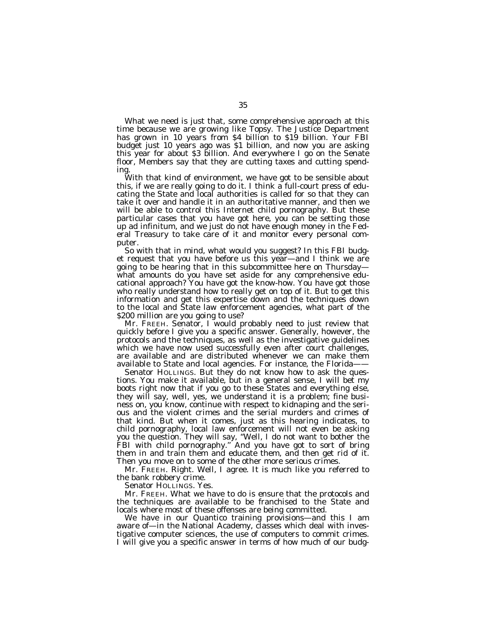What we need is just that, some comprehensive approach at this time because we are growing like Topsy. The Justice Department has grown in 10 years from \$4 billion to \$19 billion. Your FBI budget just 10 years ago was \$1 billion, and now you are asking this year for about \$3 billion. And everywhere I go on the Senate floor, Members say that they are cutting taxes and cutting spending.

With that kind of environment, we have got to be sensible about this, if we are really going to do it. I think a full-court press of educating the State and local authorities is called for so that they can take it over and handle it in an authoritative manner, and then we will be able to control this Internet child pornography. But these particular cases that you have got here, you can be setting those up ad infinitum, and we just do not have enough money in the Federal Treasury to take care of it and monitor every personal computer.

So with that in mind, what would you suggest? In this FBI budget request that you have before us this year—and I think we are going to be hearing that in this subcommittee here on Thursday what amounts do you have set aside for any comprehensive educational approach? You have got the know-how. You have got those who really understand how to really get on top of it. But to get this information and get this expertise down and the techniques down to the local and State law enforcement agencies, what part of the \$200 million are you going to use?

Mr. FREEH. Senator, I would probably need to just review that quickly before I give you a specific answer. Generally, however, the protocols and the techniques, as well as the investigative guidelines which we have now used successfully even after court challenges, are available and are distributed whenever we can make them available to State and local agencies. For instance, the Florida——

Senator HOLLINGS. But they do not know how to ask the questions. You make it available, but in a general sense, I will bet my boots right now that if you go to these States and everything else, they will say, well, yes, we understand it is a problem; fine business on, you know, continue with respect to kidnaping and the serious and the violent crimes and the serial murders and crimes of that kind. But when it comes, just as this hearing indicates, to child pornography, local law enforcement will not even be asking you the question. They will say, ''Well, I do not want to bother the FBI with child pornography.'' And you have got to sort of bring them in and train them and educate them, and then get rid of it. Then you move on to some of the other more serious crimes.

Mr. FREEH. Right. Well, I agree. It is much like you referred to the bank robbery crime.

Senator HOLLINGS. Yes.

Mr. FREEH. What we have to do is ensure that the protocols and the techniques are available to be franchised to the State and locals where most of these offenses are being committed.

We have in our Quantico training provisions—and this I am aware of—in the National Academy, classes which deal with investigative computer sciences, the use of computers to commit crimes. I will give you a specific answer in terms of how much of our budg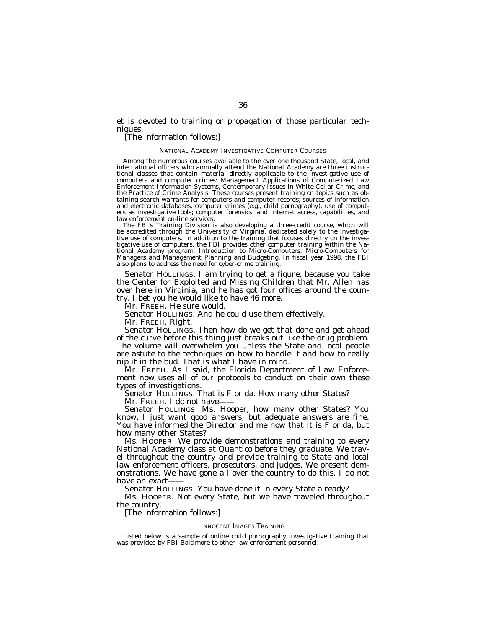et is devoted to training or propagation of those particular techniques.

# [The information follows:]

#### NATIONAL ACADEMY INVESTIGATIVE COMPUTER COURSES

Among the numerous courses available to the over one thousand State, local, and international officers who annually attend the National Academy are three instructional classes that contain material directly applicable to the investigative use of computers and computer crimes: Management Applications of Computerized Law Enforcement Information Systems, Contemporary Issues in White Collar Crime, and the Practice of Crime Analysis. These courses present training on topics such as obtaining search warrants for computers and computer records; sources of information and electronic databases; computer crimes (e.g., child pornography); use of computers as investigative tools; computer forensics; and Internet access, capabilities, and law enforcement on-line services.

The FBI's Training Division is also developing a three-credit course, which will be accredited through the University of Virginia, dedicated solely to the investigative use of computers. In addition to the training that focuses directly on the investigative use of computers, the FBI provides other computer training within the National Academy program: Introduction to Micro-Computers, Micro-Computers for Managers and Management Planning and Budgeting. In fiscal year 1998, the FBI also plans to address the need for cyber-crime training.

Senator HOLLINGS. I am trying to get a figure, because you take the Center for Exploited and Missing Children that Mr. Allen has over here in Virginia, and he has got four offices around the country. I bet you he would like to have 46 more.

Mr. FREEH. He sure would.

Senator HOLLINGS. And he could use them effectively.

Mr. FREEH. Right.

Senator HOLLINGS. Then how do we get that done and get ahead of the curve before this thing just breaks out like the drug problem. The volume will overwhelm you unless the State and local people are astute to the techniques on how to handle it and how to really nip it in the bud. That is what I have in mind.

Mr. FREEH. As I said, the Florida Department of Law Enforcement now uses all of our protocols to conduct on their own these types of investigations.

Senator HOLLINGS. That is Florida. How many other States?

Mr. FREEH. I do not have-

Senator HOLLINGS. Ms. Hooper, how many other States? You know, I just want good answers, but adequate answers are fine. You have informed the Director and me now that it is Florida, but how many other States?

Ms. HOOPER. We provide demonstrations and training to every National Academy class at Quantico before they graduate. We travel throughout the country and provide training to State and local law enforcement officers, prosecutors, and judges. We present demonstrations. We have gone all over the country to do this. I do not have an exact-

Senator HOLLINGS. You have done it in every State already?

Ms. HOOPER. Not every State, but we have traveled throughout the country.

[The information follows:]

#### INNOCENT IMAGES TRAINING

Listed below is a sample of online child pornography investigative training that was provided by FBI Baltimore to other law enforcement personnel: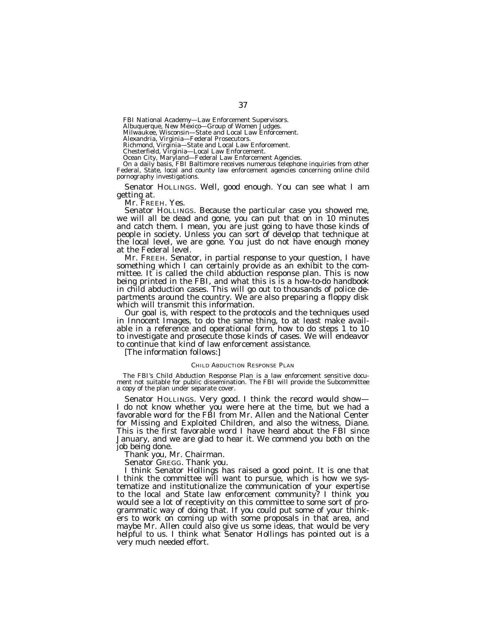FBI National Academy—Law Enforcement Supervisors.

Albuquerque, New Mexico—Group of Women Judges. Milwaukee, Wisconsin—State and Local Law Enforcement.

Alexandria, Virginia—Federal Prosecutors. Richmond, Virginia—State and Local Law Enforcement.

Chesterfield, Virginia—Local Law Enforcement.<br>Ocean City, Maryland—Federal Law Enforcement Agencies.<br>On a daily basis, FBI Baltimore receives numerous telephone inquiries from other<br>Federal, State, local and county law enf Federal, State, local and county law enforcement agencies concerning online child pornography investigations.

Senator HOLLINGS. Well, good enough. You can see what I am getting at.

Mr. FREEH. Yes.<br>Senator HOLLINGS. Because the particular case you showed me, we will all be dead and gone, you can put that on in 10 minutes and catch them. I mean, you are just going to have those kinds of people in society. Unless you can sort of develop that technique at the local level, we are gone. You just do not have enough money at the Federal level.<br>Mr. FREEH. Senator, in partial response to your question, I have

something which I can certainly provide as an exhibit to the committee. It is called the child abduction response plan. This is now being printed in the FBI, and what this is is a how-to-do handbook in child abduction cases. This will go out to thousands of police departments around the country. We are also preparing a floppy disk which will transmit this information.

Our goal is, with respect to the protocols and the techniques used in *Innocent Images*, to do the same thing, to at least make avail- able in a reference and operational form, how to do steps 1 to 10 to investigate and prosecute those kinds of cases. We will endeavor to continue that kind of law enforcement assistance.

[The information follows:]

#### CHILD ABDUCTION RESPONSE PLAN

The FBI's Child Abduction Response Plan is a law enforcement sensitive document not suitable for public dissemination. The FBI will provide the Subcommittee a copy of the plan under separate cover.

Senator HOLLINGS. Very good. I think the record would show— I do not know whether you were here at the time, but we had a favorable word for the FBI from Mr. Allen and the National Center for Missing and Exploited Children, and also the witness, Diane. This is the first favorable word I have heard about the FBI since January, and we are glad to hear it. We commend you both on the job being done.

Thank you, Mr. Chairman.

Senator GREGG. Thank you.

I think Senator Hollings has raised a good point. It is one that I think the committee will want to pursue, which is how we systematize and institutionalize the communication of your expertise to the local and State law enforcement community? I think you would see a lot of receptivity on this committee to some sort of programmatic way of doing that. If you could put some of your thinkers to work on coming up with some proposals in that area, and maybe Mr. Allen could also give us some ideas, that would be very helpful to us. I think what Senator Hollings has pointed out is a very much needed effort.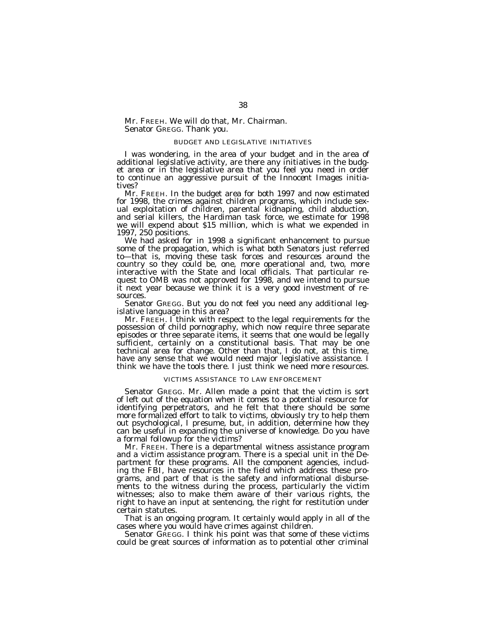Mr. FREEH. We will do that, Mr. Chairman. Senator GREGG. Thank you.

## BUDGET AND LEGISLATIVE INITIATIVES

I was wondering, in the area of your budget and in the area of additional legislative activity, are there any initiatives in the budget area or in the legislative area that you feel you need in order to continue an aggressive pursuit of the *Innocent Images* initiatives?

Mr. FREEH. In the budget area for both 1997 and now estimated for 1998, the crimes against children programs, which include sexual exploitation of children, parental kidnaping, child abduction, and serial killers, the Hardiman task force, we estimate for 1998 we will expend about \$15 million, which is what we expended in 1997, 250 positions.<br>We had asked for in 1998 a significant enhancement to pursue

some of the propagation, which is what both Senators just referred to—that is, moving these task forces and resources around the country so they could be, one, more operational and, two, more interactive with the State and local officials. That particular request to OMB was not approved for 1998, and we intend to pursue it next year because we think it is a very good investment of resources.

Senator GREGG. But you do not feel you need any additional leg-<br>islative language in this area?<br>Mr. FREEH. I think with respect to the legal requirements for the

possession of child pornography, which now require three separate episodes or three separate items, it seems that one would be legally sufficient, certainly on a constitutional basis. That may be one technical area for change. Other than that, I do not, at this time, have any sense that we would need major legislative assistance. I think we have the tools there. I just think we need more resources.

# VICTIMS ASSISTANCE TO LAW ENFORCEMENT

Senator GREGG. Mr. Allen made a point that the victim is sort of left out of the equation when it comes to a potential resource for identifying perpetrators, and he felt that there should be some more formalized effort to talk to victims, obviously try to help them out psychological, I presume, but, in addition, determine how they can be useful in expanding the universe of knowledge. Do you have

a formal followup for the victims?<br>Mr. Freeh. There is a departmental witness assistance program and a victim assistance program. There is a special unit in the Department for these programs. All the component agencies, including the FBI, have resources in the field which address these programs, and part of that is the safety and informational disbursements to the witness during the process, particularly the victim witnesses; also to make them aware of their various rights, the right to have an input at sentencing, the right for restitution under certain statutes.

That is an ongoing program. It certainly would apply in all of the cases where you would have crimes against children.

Senator GREGG. I think his point was that some of these victims could be great sources of information as to potential other criminal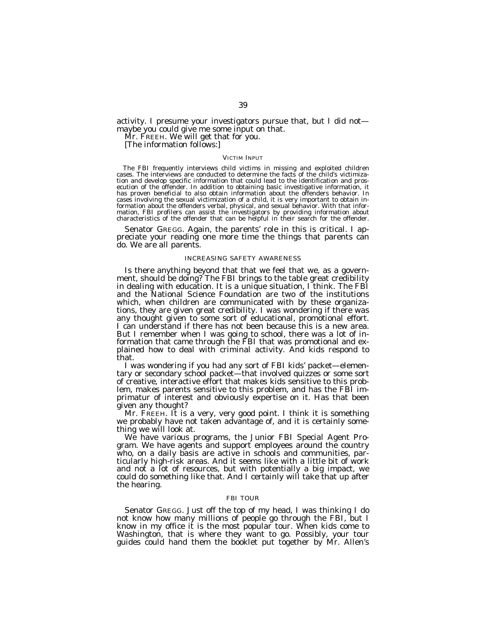activity. I presume your investigators pursue that, but I did not maybe you could give me some input on that.

Mr. FREEH. We will get that for you.<br>[The information follows:]

#### VICTIM INPUT

The FBI frequently interviews child victims in missing and exploited children<br>cases. The interviews are conducted to determine the facts of the child's victimiza-<br>tion and develop specific information that could lead to th ecution of the offender. In addition to obtaining basic investigative information, it has proven beneficial to also obtain information about the offenders behavior. In cases involving the sexual victimization of a child, it is very important to obtain information about the offenders verbal, physical, and sexual behavior. With that information, FBI profilers can assist the investigators by providing information about characteristics of the offender that can be helpful in their search for the offender.

Senator GREGG. Again, the parents' role in this is critical. I appreciate your reading one more time the things that parents can do. We are all parents.

#### INCREASING SAFETY AWARENESS

Is there anything beyond that that we feel that we, as a government, should be doing? The FBI brings to the table great credibility in dealing with education. It is a unique situation, I think. The FBI and the National Science Foundation are two of the institutions which, when children are communicated with by these organizations, they are given great credibility. I was wondering if there was any thought given to some sort of educational, promotional effort. I can understand if there has not been because this is a new area. But I remember when I was going to school, there was a lot of information that came through the FBI that was promotional and explained how to deal with criminal activity. And kids respond to that.

I was wondering if you had any sort of FBI kids' packet—elementary or secondary school packet—that involved quizzes or some sort of creative, interactive effort that makes kids sensitive to this problem, makes parents sensitive to this problem, and has the FBI imprimatur of interest and obviously expertise on it. Has that been given any thought?

Mr. FREEH. It is a very, very good point. I think it is something we probably have not taken advantage of, and it is certainly something we will look at.

We have various programs, the Junior FBI Special Agent Program. We have agents and support employees around the country who, on a daily basis are active in schools and communities, particularly high-risk areas. And it seems like with a little bit of work and not a lot of resources, but with potentially a big impact, we could do something like that. And I certainly will take that up after the hearing.

## FBI TOUR

Senator GREGG. Just off the top of my head, I was thinking I do not know how many millions of people go through the FBI, but I know in my office it is the most popular tour. When kids come to Washington, that is where they want to go. Possibly, your tour guides could hand them the booklet put together by Mr. Allen's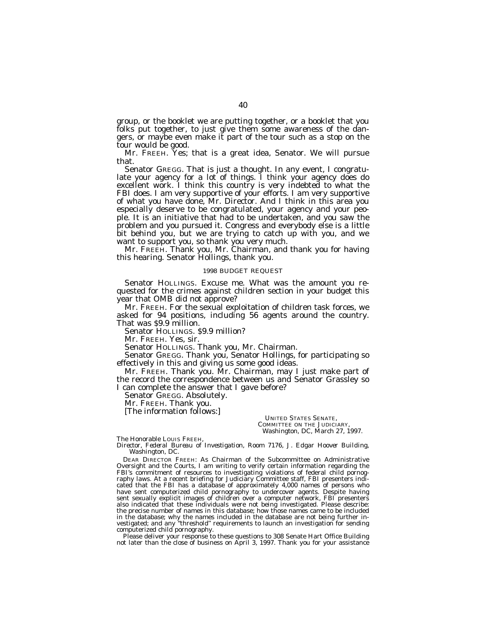group, or the booklet we are putting together, or a booklet that you folks put together, to just give them some awareness of the dangers, or maybe even make it part of the tour such as a stop on the tour would be good.

Mr. FREEH. Yes; that is a great idea, Senator. We will pursue that.

Senator GREGG. That is just a thought. In any event, I congratulate your agency for a lot of things. I think your agency does do excellent work. I think this country is very indebted to what the FBI does. I am very supportive of your efforts. I am very supportive of what you have done, Mr. Director. And I think in this area you especially deserve to be congratulated, your agency and your people. It is an initiative that had to be undertaken, and you saw the problem and you pursued it. Congress and everybody else is a little bit behind you, but we are trying to catch up with you, and we want to support you, so thank you very much.

Mr. FREEH. Thank you, Mr. Chairman, and thank you for having this hearing. Senator Hollings, thank you.

# 1998 BUDGET REQUEST

Senator HOLLINGS. Excuse me. What was the amount you requested for the crimes against children section in your budget this year that OMB did not approve?

Mr. FREEH. For the sexual exploitation of children task forces, we asked for 94 positions, including 56 agents around the country. That was \$9.9 million.

Senator HOLLINGS. \$9.9 million?

Mr. FREEH. Yes, sir.

Senator HOLLINGS. Thank you, Mr. Chairman.

Senator GREGG. Thank you, Senator Hollings, for participating so effectively in this and giving us some good ideas.

Mr. FREEH. Thank you. Mr. Chairman, may I just make part of the record the correspondence between us and Senator Grassley so I can complete the answer that I gave before?

Senator GREGG. Absolutely.

Mr. FREEH. Thank you.

[The information follows:]

UNITED STATES SENATE, COMMITTEE ON THE JUDICIARY, *Washington, DC, March 27, 1997.*

The Honorable LOUIS FREEH,

*Director, Federal Bureau of Investigation, Room 7176, J. Edgar Hoover Building, Washington, DC.*

DEAR DIRECTOR FREEH: As Chairman of the Subcommittee on Administrative Oversight and the Courts, I am writing to verify certain information regarding the FBI's commitment of resources to investigating violations of federal child pornography laws. At a recent briefing for Judiciary Committee staff, FBI presenters indicated that the FBI has a database of approximately 4,000 names of persons who have sent computerized child pornography to undercover agents. Despite having sent sexually explicit images of children over a computer network, FBI presenters also indicated that these individuals were not being investigated. Please describe: the precise number of names in this database; how those names came to be included in the database; why the names included in the database are not being further investigated; and any ''threshold'' requirements to launch an investigation for sending computerized child pornography.

Please deliver your response to these questions to 308 Senate Hart Office Building not later than the close of business on April 3, 1997. Thank you for your assistance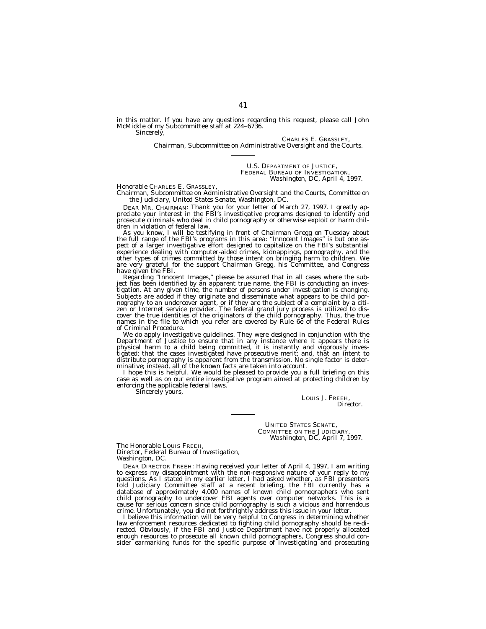in this matter. If you have any questions regarding this request, please call John McMickle of my Subcommittee staff at 224–6736. Sincerely,

CHARLES E. GRASSLEY,

*Chairman, Subcommittee on Administrative Oversight and the Courts.*

U.S. DEPARTMENT OF JUSTICE, FEDERAL BUREAU OF INVESTIGATION, *Washington, DC, April 4, 1997.*

Honorable CHARLES E. GRASSLEY,

*Chairman, Subcommittee on Administrative Oversight and the Courts, Committee on the Judiciary, United States Senate, Washington, DC.*

DEAR MR. CHAIRMAN: Thank you for your letter of March 27, 1997. I greatly appreciate your interest in the FBI's investigative programs designed to identify and prosecute criminals who deal in child pornography or otherwise exploit or harm children in violation of federal law.

As you know, I will be testifying in front of Chairman Gregg on Tuesday about the full range of the FBI's programs in this area: ''Innocent Images'' is but one aspect of a larger investigative effort designed to capitalize on the FBI's substantial experience dealing with computer-aided crimes, kidnappings, pornography, and the other types of crimes committed by those intent on bringing harm to children. We are very grateful for the support Chairman Gregg, his Committee, and Congress have given the FBI.

Regarding ''Innocent Images,'' please be assured that in all cases where the subject has been identified by an apparent true name, the FBI is conducting an investigation. At any given time, the number of persons under investigation is changing. Subjects are added if they originate and disseminate what appears to be child pornography to an undercover agent, or if they are the subject of a complaint by a citizen or Internet service provider. The federal grand jury process is utilized to discover the true identities of the originators of the child pornography. Thus, the true names in the file to which you refer are covered by Rule 6e of the Federal Rules of Criminal Procedure.

We do apply investigative guidelines. They were designed in conjunction with the Department of Justice to ensure that in any instance where it appears there is physical harm to a child being committed, it is instantly and vigorously investigated; that the cases investigated have prosecutive merit; and, that an intent to distribute pornography is apparent from the transmission. No single factor is determinative; instead, all of the known facts are taken into account.

I hope this is helpful. We would be pleased to provide you a full briefing on this case as well as on our entire investigative program aimed at protecting children by enforcing the applicable federal laws.

Sincerely yours,

LOUIS J. FREEH, *Director.*

UNITED STATES SENATE, COMMITTEE ON THE JUDICIARY, *Washington, DC, April 7, 1997.*

The Honorable LOUIS FREEH, *Director, Federal Bureau of Investigation, Washington, DC.*

DEAR DIRECTOR FREEH: Having received your letter of April 4, 1997, I am writing to express my disappointment with the non-responsive nature of your reply to my questions. As I stated in my earlier letter, I had asked whether, as FBI presenters told Judiciary Committee staff at a recent briefing, the FBI currently has a database of approximately 4,000 names of known child pornographers who sent child pornography to undercover FBI agents over computer networks. This is a cause for serious concern since child pornography is such a vicious and horrendous crime. Unfortunately, you did not forthrightly address this issue in your letter.

I believe this information will be very helpful to Congress in determining whether law enforcement resources dedicated to fighting child pornography should be re-di-<br>rected. Obviously, if the FBI and Justice Department have not properly allocated<br>enough resources to prosecute all known child pornographer sider earmarking funds for the specific purpose of investigating and prosecuting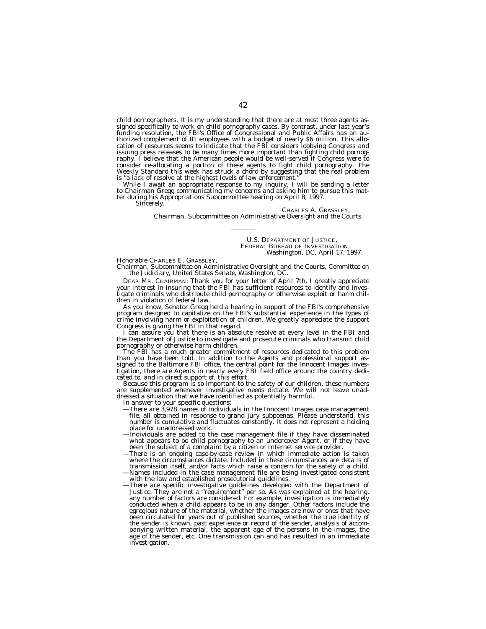child pornographers. It is my understanding that there are at most three agents assigned specifically to work on child pornography cases. By contrast, under last year's funding resolution, the FBI's Office of Congressional and Public Affairs has an authorized complement of 81 employees with a budget of nearly \$6 million. This allocation of resources seems to indicate that the FBI considers lobbying Congress and issuing press releases to be many times more important than fighting child pornography. I believe that the American people would be well-served if Congress were to consider re-allocating a portion of these agents to fight child pornography. The Weekly Standard this week has struck a chord by suggesting that the real problem is "a lack of resolve at the highest levels of law enforcement.

While I await an appropriate response to my inquiry, I will be sending a letter to Chairman Gregg communicating my concerns and asking him to pursue this matter during his Appropriations Subcommittee hearing on April 8, 1997.

Sincerely.

#### CHARLES A. GRASSLEY,

*Chairman, Subcommittee on Administrative Oversight and the Courts.*

U.S. DEPARTMENT OF JUSTICE, FEDERAL BUREAU OF INVESTIGATION, *Washington, DC, April 17, 1997.*

Honorable CHARLES E. GRASSLEY,

*Chairman, Subcommittee on Administrative Oversight and the Courts, Committee on the Judiciary, United States Senate, Washington, DC.*

DEAR MR. CHAIRMAN: Thank you for your letter of April 7th. I greatly appreciate your interest in insuring that the FBI has sufficient resources to identify and investigate criminals who distribute child pornography or otherwise exploit or harm children in violation of federal law.

As you know, Senator Gregg held a hearing in support of the FBI's comprehensive program designed to capitalize on the FBI's substantial experience in the types of crime involving harm or exploitation of children. We greatly appreciate the support Congress is giving the FBI in that regard.

I can assure you that there is an absolute resolve at every level in the FBI and the Department of Justice to investigate and prosecute criminals who transmit child pornography or otherwise harm children.

The FBI has a much greater commitment of resources dedicated to this problem than you have been told. In addition to the Agents and professional support assigned to the Baltimore FBI office, the central point for the Innocent Images investigation, there are Agents in nearly every FBI field office around the country dedicated to, and in direct support of, this effort.

Because this program is so important to the safety of our children, these numbers are supplemented whenever investigative needs dictate. We will not leave unaddressed a situation that we have identified as potentially harmful.

In answer to your specific questions:

- —There are 3,978 names of individuals in the Innocent Images case management file, all obtained in response to grand jury subpoenas. Please understand, this number is cumulative and fluctuates constantly. It does not represent a holding place for unaddressed work.
- —Individuals are added to the case management file if they have disseminated what appears to be child pornography to an undercover Agent, or if they have been the subject of a complaint by a citizen or Internet service provider.
- There is an ongoing case-by-case review in which immediate action is taken where the circumstances dictate. Included in these circumstances are details of transmission itself, and/or facts which raise a concern for the safety of a child. —Names included in the case management file are being investigated consistent with the law and established prosecutorial guidelines.
- —There are specific investigative guidelines developed with the Department of Justice. They are not a ''requirement'' per se. As was explained at the hearing, any number of factors are considered. For example, investigation is immediately conducted when a child appears to be in any danger. Other factors include the egregious nature of the material, whether the images are new or ones that have been circulated for years out of published sources, whether the true identity of the sender is known, past experience or record of the sender, analysis of accompanying written material, the apparent age of the persons in the images, the age of the sender, etc. One transmission can and has resulted in an immediate investigation.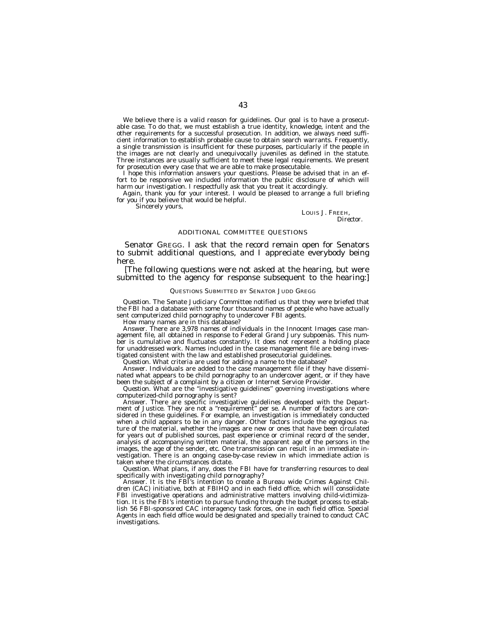We believe there is a valid reason for guidelines. Our goal is to have a prosecutable case. To do that, we must establish a true identity, knowledge, intent and the other requirements for a successful prosecution. In addition, we always need sufficient information to establish probable cause to obtain search warrants. Frequently, a single transmission is insufficient for these purposes, particularly if the people in the images are not clearly and unequivocally juveniles as defined in the statute. Three instances are usually sufficient to meet these legal requirements. We present for prosecution every case that we are able to make prosecutable.

I hope this information answers your questions. Please be advised that in an effort to be responsive we included information the public disclosure of which will harm our investigation. I respectfully ask that you treat it accordingly.

Again, thank you for your interest. I would be pleased to arrange a full briefing for you if you believe that would be helpful.

Sincerely yours,

LOUIS J. FREEH, *Director.*

## ADDITIONAL COMMITTEE QUESTIONS

Senator GREGG. I ask that the record remain open for Senators to submit additional questions, and I appreciate everybody being here.

[The following questions were not asked at the hearing, but were submitted to the agency for response subsequent to the hearing:]

#### QUESTIONS SUBMITTED BY SENATOR JUDD GREGG

*Question.* The Senate Judiciary Committee notified us that they were briefed that the FBI had a database with some four thousand names of people who have actually sent computerized child pornography to undercover FBI agents.

How many names are in this database?

Answer. There are 3,978 names of individuals in the Innocent Images case management file, all obtained in response to Federal Grand Jury subpoenas. This number is cumulative and fluctuates constantly. It does not represent a holding place for unaddressed work. Names included in the case management file are being investigated consistent with the law and established prosecutorial guidelines.

*Question.* What criteria are used for adding a name to the database?

Answer. Individuals are added to the case management file if they have disseminated what appears to be child pornography to an undercover agent, or if they have been the subject of a complaint by a citizen or Internet Service Provider.

*Question.* What are the ''investigative guidelines'' governing investigations where computerized-child pornography is sent?

Answer. There are specific investigative guidelines developed with the Department of Justice. They are not a ''requirement'' per se. A number of factors are considered in these guidelines. For example, an investigation is immediately conducted when a child appears to be in any danger. Other factors include the egregious nature of the material, whether the images are new or ones that have been circulated for years out of published sources, past experience or criminal record of the sender, analysis of accompanying written material, the apparent age of the persons in the images, the age of the sender, etc. One transmission can result in an immediate investigation. There is an ongoing case-by-case review in which immediate action is taken where the circumstances dictate.

*Question.* What plans, if any, does the FBI have for transferring resources to deal specifically with investigating child pornography?

Answer. It is the FBI's intention to create a Bureau wide Crimes Against Children (CAC) initiative, both at FBIHQ and in each field office, which will consolidate FBI investigative operations and administrative matters involving child-victimization. It is the FBI's intention to pursue funding through the budget process to establish 56 FBI-sponsored CAC interagency task forces, one in each field office. Special Agents in each field office would be designated and specially trained to conduct CAC investigations.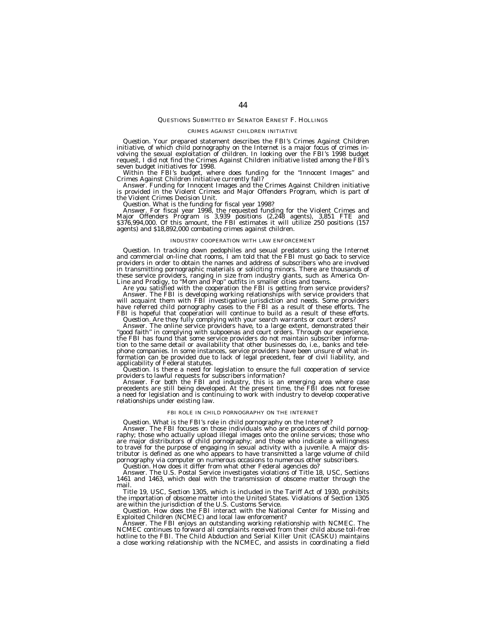#### QUESTIONS SUBMITTED BY SENATOR ERNEST F. HOLLINGS

#### CRIMES AGAINST CHILDREN INITIATIVE

*Question.* Your prepared statement describes the FBI's Crimes Against Children initiative, of which child pornography on the Internet is a major focus of crimes involving the sexual exploitation of children. In looking ov request, I did not find the Crimes Against Children initiative listed among the FBI's

Within the FBI's budget, where does funding for the "Innocent Images" and<br>Crimes Against Children initiative currently fall?<br>Answer. Funding for Innocent Images and the Crimes Against Children initiative<br>is provided in the

the Violent Crimes Decision Unit.<br>*Question.* What is the funding for fiscal year 1998?<br>Answer. For fiscal year 1998, the requested funding for the Violent Crimes and<br>Major Offenders Program is 3,939 positions (2,248 agent agents) and \$18,892,000 combating crimes against children.

#### INDUSTRY COOPERATION WITH LAW ENFORCEMENT

*Question.* In tracking down pedophiles and sexual predators using the Internet and commercial on-line chat rooms, I am told that the FBI must go back to service providers in order to obtain the names and address of subscribers who are involved in transmitting pornographic materials or soliciting minors. There are thousands of these service providers, ranging in size from industry giants, such as America On-Line and Prodigy, to ''Mom and Pop'' outfits in smaller cities and towns. Are you satisfied with the cooperation the FBI is getting from service providers?

Answer. The FBI is developing working relationships with service providers that<br>will acquaint them with FBI investigative jurisdiction and needs. Some providers<br>have referred child pornography cases to the FBI as a result FBI is hopeful that cooperation will continue to build as a result of these efforts.<br>Question. Are they fully complying with your search warrants or court orders?

*Question.* Are they fully complying with your search warrants or court orders?<br>Answer. The online service providers have, to a large extent, demonstrated their<br>"good faith" in complying with subpoenas and court orders. Th tion to the same detail or availability that other businesses do, i.e., banks and telephone companies. In some instances, service providers have been unsure of what in-formation can be provided due to lack of legal precedent, fear of civil liability, and applicability of Federal statutes.<br>*Question*. Is there a need for legislation to ensure the full cooperation of service

providers to lawful requests for subscribers information?

Answer. For both the FBI and industry, this is an emerging area where case precedents are still being developed. At the present time, the FBI does not foresee a need for legislation and is continuing to work with industry to develop cooperative relationships under existing law.

#### FBI ROLE IN CHILD PORNOGRAPHY ON THE INTERNET

Question. What is the FBI's role in child pornography on the Internet?<br>Answer. The FBI focuses on those individuals who are producers of child pornography; those who actually upload illegal images onto the online services; are major distributors of child pornography; and those who indicate a willingness to travel for the purpose of engaging in sexual activity with a juvenile. A major distributor is defined as one who appears to have transmitted a large volume of child pornography via computer on numerous occasions to numerous other subscribers.

*Question.* How does it differ from what other Federal agencies do?

Answer. The U.S. Postal Service investigates violations of Title 18, USC, Sections 1461 and 1463, which deal with the transmission of obscene matter through the mail.

Title 19, USC, Section 1305, which is included in the Tariff Act of 1930, prohibits the importation of obscene matter into the United States. Violations of Section 1305 are within the jurisdiction of the U.S. Customs Service.

*Question.* How does the FBI interact with the National Center for Missing and Exploited Children (NCMEC) and local law enforcement?

Answer. The FBI enjoys an outstanding working relationship with NCMEC. The NCMEC continues to forward all complaints received from their child abuse toll-free hotline to the FBI. The Child Abduction and Serial Killer Unit (CASKU) maintains a close working relationship with the NCMEC, and assists in coordinating a field